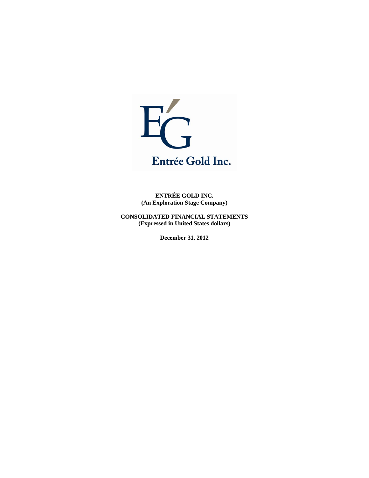

**ENTRÉE GOLD INC. (An Exploration Stage Company)** 

**CONSOLIDATED FINANCIAL STATEMENTS (Expressed in United States dollars)** 

**December 31, 2012**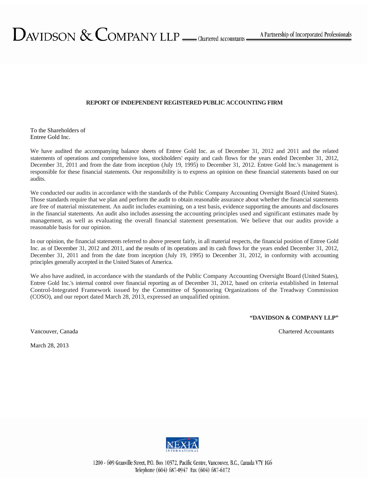# $D$ AVIDSON  $\&$  COMPANY LLP  $\_\_$ Chartered Accountants =

#### **REPORT OF INDEPENDENT REGISTERED PUBLIC ACCOUNTING FIRM**

To the Shareholders of Entree Gold Inc.

We have audited the accompanying balance sheets of Entree Gold Inc. as of December 31, 2012 and 2011 and the related statements of operations and comprehensive loss, stockholders' equity and cash flows for the years ended December 31, 2012, December 31, 2011 and from the date from inception (July 19, 1995) to December 31, 2012. Entree Gold Inc.'s management is responsible for these financial statements. Our responsibility is to express an opinion on these financial statements based on our audits.

We conducted our audits in accordance with the standards of the Public Company Accounting Oversight Board (United States). Those standards require that we plan and perform the audit to obtain reasonable assurance about whether the financial statements are free of material misstatement. An audit includes examining, on a test basis, evidence supporting the amounts and disclosures in the financial statements. An audit also includes assessing the accounting principles used and significant estimates made by management, as well as evaluating the overall financial statement presentation. We believe that our audits provide a reasonable basis for our opinion.

In our opinion, the financial statements referred to above present fairly, in all material respects, the financial position of Entree Gold Inc. as of December 31, 2012 and 2011, and the results of its operations and its cash flows for the years ended December 31, 2012, December 31, 2011 and from the date from inception (July 19, 1995) to December 31, 2012, in conformity with accounting principles generally accepted in the United States of America.

We also have audited, in accordance with the standards of the Public Company Accounting Oversight Board (United States), Entree Gold Inc.'s internal control over financial reporting as of December 31, 2012, based on criteria established in Internal Control-Integrated Framework issued by the Committee of Sponsoring Organizations of the Treadway Commission (COSO), and our report dated March 28, 2013, expressed an unqualified opinion.

**"DAVIDSON & COMPANY LLP"** 

Vancouver, Canada Chartered Accountants

March 28, 2013

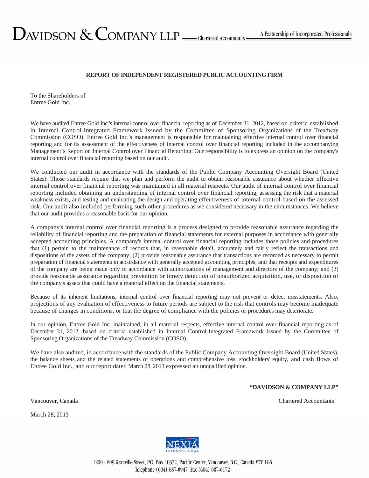# $D_{AVIDSON}$  &  $C_{OMPANY$  LLP  $\_\_$ Chartered Accountants

#### **REPORT OF INDEPENDENT REGISTERED PUBLIC ACCOUNTING FIRM**

To the Shareholders of Entree Gold Inc.

We have audited Entree Gold Inc.'s internal control over financial reporting as of December 31, 2012, based on criteria established in Internal Control-Integrated Framework issued by the Committee of Sponsoring Organizations of the Treadway Commission (COSO). Entree Gold Inc.'s management is responsible for maintaining effective internal control over financial reporting and for its assessment of the effectiveness of internal control over financial reporting included in the accompanying Management's Report on Internal Control over Financial Reporting. Our responsibility is to express an opinion on the company's internal control over financial reporting based on our audit.

We conducted our audit in accordance with the standards of the Public Company Accounting Oversight Board (United States). Those standards require that we plan and perform the audit to obtain reasonable assurance about whether effective internal control over financial reporting was maintained in all material respects. Our audit of internal control over financial reporting included obtaining an understanding of internal control over financial reporting, assessing the risk that a material weakness exists, and testing and evaluating the design and operating effectiveness of internal control based on the assessed risk. Our audit also included performing such other procedures as we considered necessary in the circumstances. We believe that our audit provides a reasonable basis for our opinion.

A company's internal control over financial reporting is a process designed to provide reasonable assurance regarding the reliability of financial reporting and the preparation of financial statements for external purposes in accordance with generally accepted accounting principles. A company's internal control over financial reporting includes those policies and procedures that (1) pertain to the maintenance of records that, in reasonable detail, accurately and fairly reflect the transactions and dispositions of the assets of the company; (2) provide reasonable assurance that transactions are recorded as necessary to permit preparation of financial statements in accordance with generally accepted accounting principles, and that receipts and expenditures of the company are being made only in accordance with authorizations of management and directors of the company; and (3) provide reasonable assurance regarding prevention or timely detection of unauthorized acquisition, use, or disposition of the company's assets that could have a material effect on the financial statements.

Because of its inherent limitations, internal control over financial reporting may not prevent or detect misstatements. Also, projections of any evaluation of effectiveness to future periods are subject to the risk that controls may become inadequate because of changes in conditions, or that the degree of compliance with the policies or procedures may deteriorate.

In our opinion, Entree Gold Inc. maintained, in all material respects, effective internal control over financial reporting as of December 31, 2012, based on criteria established in Internal Control-Integrated Framework issued by the Committee of Sponsoring Organizations of the Treadway Commission (COSO).

We have also audited, in accordance with the standards of the Public Company Accounting Oversight Board (United States), the balance sheets and the related statements of operations and comprehensive loss, stockholders' equity, and cash flows of Entree Gold Inc., and our report dated March 28, 2013 expressed an unqualified opinion.

#### **"DAVIDSON & COMPANY LLP"**

Vancouver, Canada Chartered Accountants Chartered Accountants

March 28, 2013

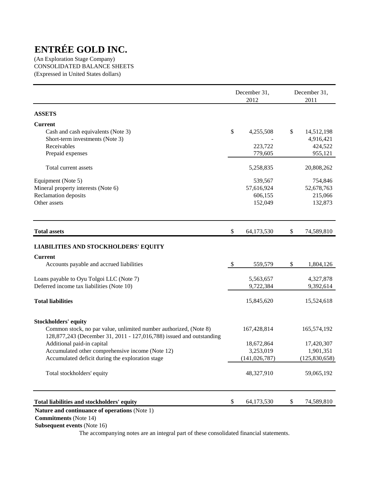(An Exploration Stage Company) CONSOLIDATED BALANCE SHEETS (Expressed in United States dollars)

|                                                                      |               | December 31,<br>2012 | December 31,<br>2011 |
|----------------------------------------------------------------------|---------------|----------------------|----------------------|
| <b>ASSETS</b>                                                        |               |                      |                      |
| <b>Current</b>                                                       |               |                      |                      |
| Cash and cash equivalents (Note 3)                                   | \$            | 4,255,508            | \$<br>14,512,198     |
| Short-term investments (Note 3)                                      |               |                      | 4,916,421            |
| Receivables                                                          |               | 223,722              | 424,522              |
| Prepaid expenses                                                     |               | 779,605              | 955,121              |
| Total current assets                                                 |               | 5,258,835            | 20,808,262           |
| Equipment (Note 5)                                                   |               | 539,567              | 754,846              |
| Mineral property interests (Note 6)                                  |               | 57,616,924           | 52,678,763           |
| Reclamation deposits                                                 |               | 606,155              | 215,066              |
| Other assets                                                         |               | 152,049              | 132,873              |
| <b>Total assets</b>                                                  | \$            | 64,173,530           | \$<br>74,589,810     |
| <b>LIABILITIES AND STOCKHOLDERS' EQUITY</b>                          |               |                      |                      |
| <b>Current</b>                                                       |               |                      |                      |
| Accounts payable and accrued liabilities                             | $\mathcal{S}$ | 559,579              | \$<br>1,804,126      |
| Loans payable to Oyu Tolgoi LLC (Note 7)                             |               | 5,563,657            | 4,327,878            |
| Deferred income tax liabilities (Note 10)                            |               | 9,722,384            | 9,392,614            |
| <b>Total liabilities</b>                                             |               | 15,845,620           | 15,524,618           |
| <b>Stockholders' equity</b>                                          |               |                      |                      |
| Common stock, no par value, unlimited number authorized, (Note 8)    |               | 167,428,814          | 165,574,192          |
| 128,877,243 (December 31, 2011 - 127,016,788) issued and outstanding |               |                      |                      |
| Additional paid-in capital                                           |               | 18,672,864           | 17,420,307           |
| Accumulated other comprehensive income (Note 12)                     |               | 3,253,019            | 1,901,351            |
| Accumulated deficit during the exploration stage                     |               | (141, 026, 787)      | (125,830,658)        |
| Total stockholders' equity                                           |               | 48,327,910           | 59,065,192           |
| Total liabilities and stockholders' equity                           | \$            | 64,173,530           | \$<br>74,589,810     |
| Nature and continuance of operations (Note 1)                        |               |                      |                      |

 **Commitments** (Note 14)

 **Subsequent events** (Note 16)

The accompanying notes are an integral part of these consolidated financial statements.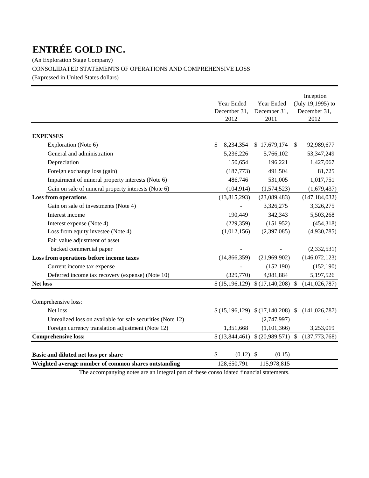(An Exploration Stage Company) CONSOLIDATED STATEMENTS OF OPERATIONS AND COMPREHENSIVE LOSS

(Expressed in United States dollars)

|                                                                                 | Year Ended<br>December 31,<br>2012 | Year Ended<br>December 31,<br>2011 | Inception<br>(July 19,1995) to<br>December 31,<br>2012 |
|---------------------------------------------------------------------------------|------------------------------------|------------------------------------|--------------------------------------------------------|
| <b>EXPENSES</b>                                                                 |                                    |                                    |                                                        |
| Exploration (Note 6)                                                            | \$.<br>8,234,354                   | \$17,679,174                       | 92,989,677<br><sup>\$</sup>                            |
| General and administration                                                      | 5,236,226                          | 5,766,102                          | 53, 347, 249                                           |
| Depreciation                                                                    | 150,654                            | 196,221                            | 1,427,067                                              |
| Foreign exchange loss (gain)                                                    | (187, 773)                         | 491,504                            | 81,725                                                 |
| Impairment of mineral property interests (Note 6)                               | 486,746                            | 531,005                            | 1,017,751                                              |
| Gain on sale of mineral property interests (Note 6)                             | (104, 914)                         | (1,574,523)                        | (1,679,437)                                            |
| <b>Loss from operations</b>                                                     | (13,815,293)                       | (23,089,483)                       | (147, 184, 032)                                        |
| Gain on sale of investments (Note 4)                                            |                                    | 3,326,275                          | 3,326,275                                              |
| Interest income                                                                 | 190,449                            | 342,343                            | 5,503,268                                              |
| Interest expense (Note 4)                                                       | (229, 359)                         | (151,952)                          | (454, 318)                                             |
| Loss from equity investee (Note 4)                                              | (1,012,156)                        | (2,397,085)                        | (4,930,785)                                            |
| Fair value adjustment of asset                                                  |                                    |                                    |                                                        |
| backed commercial paper                                                         |                                    |                                    | (2, 332, 531)                                          |
| Loss from operations before income taxes                                        | (14, 866, 359)                     | (21,969,902)                       | (146,072,123)                                          |
| Current income tax expense                                                      |                                    | (152, 190)                         | (152, 190)                                             |
| Deferred income tax recovery (expense) (Note 10)                                | (329,770)                          | 4,981,884                          | 5,197,526                                              |
| <b>Net loss</b>                                                                 |                                    | $(15,196,129)$ $(17,140,208)$      | $\mathbb{S}$<br>(141, 026, 787)                        |
|                                                                                 |                                    |                                    |                                                        |
| Comprehensive loss:<br>Net loss                                                 |                                    | $(15,196,129)$ $(17,140,208)$ \$   | (141, 026, 787)                                        |
|                                                                                 |                                    |                                    |                                                        |
| Unrealized loss on available for sale securities (Note 12)                      | 1,351,668                          | (2,747,997)<br>(1,101,366)         | 3,253,019                                              |
| Foreign currency translation adjustment (Note 12)<br><b>Comprehensive loss:</b> |                                    | $(13,844,461)$ $(20,989,571)$ \$   | (137,773,768)                                          |
|                                                                                 |                                    |                                    |                                                        |
| Basic and diluted net loss per share                                            | \$<br>$(0.12)$ \$                  | (0.15)                             |                                                        |
| Weighted average number of common shares outstanding                            | 128,650,791                        | 115,978,815                        |                                                        |

The accompanying notes are an integral part of these consolidated financial statements.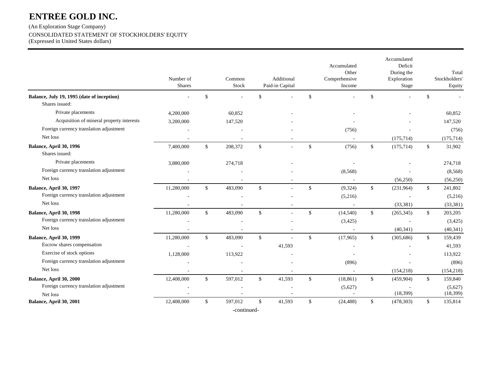(An Exploration Stage Company) CONSOLIDATED STATEMENT OF STOCKHOLDERS' EQUITY (Expressed in United States dollars)

|                                            | Number of<br><b>Shares</b> |                           | Common<br>Stock |               | Additional<br>Paid-in Capital |                    | Accumulated<br>Other<br>Comprehensive<br>Income |              | Accumulated<br>Deficit<br>During the<br>Exploration<br>Stage |               | Total<br>Stockholders'<br>Equity |
|--------------------------------------------|----------------------------|---------------------------|-----------------|---------------|-------------------------------|--------------------|-------------------------------------------------|--------------|--------------------------------------------------------------|---------------|----------------------------------|
| Balance, July 19, 1995 (date of inception) |                            | $\boldsymbol{\mathsf{S}}$ |                 | $\mathcal{S}$ |                               | $\mathbf{\hat{S}}$ |                                                 | \$           |                                                              | $\mathcal{S}$ |                                  |
| Shares issued:                             |                            |                           |                 |               |                               |                    |                                                 |              |                                                              |               |                                  |
| Private placements                         | 4,200,000                  |                           | 60,852          |               |                               |                    |                                                 |              |                                                              |               | 60,852                           |
| Acquisition of mineral property interests  | 3,200,000                  |                           | 147,520         |               |                               |                    |                                                 |              |                                                              |               | 147,520                          |
| Foreign currency translation adjustment    |                            |                           |                 |               |                               |                    | (756)                                           |              |                                                              |               | (756)                            |
| Net loss                                   |                            |                           |                 |               |                               |                    |                                                 |              | (175, 714)                                                   |               | (175, 714)                       |
| Balance, April 30, 1996<br>Shares issued:  | 7,400,000                  | $\mathbb{S}$              | 208,372         | $\mathbb{S}$  |                               | $\mathbb{S}$       | (756)                                           | $\mathbb{S}$ | (175, 714)                                                   | $\mathbb{S}$  | 31,902                           |
| Private placements                         | 3,880,000                  |                           | 274,718         |               |                               |                    |                                                 |              |                                                              |               | 274,718                          |
| Foreign currency translation adjustment    |                            |                           |                 |               |                               |                    | (8,568)                                         |              |                                                              |               | (8,568)                          |
| Net loss                                   |                            |                           |                 |               |                               |                    |                                                 |              | (56,250)                                                     |               | (56,250)                         |
| Balance, April 30, 1997                    | 11,280,000                 | \$                        | 483,090         | \$            |                               | $\mathbb{S}$       | (9, 324)                                        | $\mathbb{S}$ | (231,964)                                                    | \$            | 241,802                          |
| Foreign currency translation adjustment    |                            |                           |                 |               |                               |                    | (5,216)                                         |              |                                                              |               | (5,216)                          |
| Net loss                                   |                            |                           |                 |               |                               |                    |                                                 |              | (33, 381)                                                    |               | (33, 381)                        |
| Balance, April 30, 1998                    | 11,280,000                 | \$                        | 483,090         | $\mathbf{s}$  |                               | $\mathbb{S}$       | (14, 540)                                       | $\mathbb{S}$ | (265, 345)                                                   | \$            | 203,205                          |
| Foreign currency translation adjustment    |                            |                           |                 |               |                               |                    | (3,425)                                         |              |                                                              |               | (3,425)                          |
| Net loss                                   |                            |                           |                 |               |                               |                    |                                                 |              | (40, 341)                                                    |               | (40, 341)                        |
| Balance, April 30, 1999                    | 11,280,000                 | $\mathbb{S}$              | 483,090         | $\mathbb{S}$  |                               | $\mathbf S$        | (17,965)                                        | $\mathbb{S}$ | (305, 686)                                                   | $\mathbb{S}$  | 159,439                          |
| Escrow shares compensation                 |                            |                           |                 |               | 41,593                        |                    |                                                 |              |                                                              |               | 41,593                           |
| Exercise of stock options                  | 1,128,000                  |                           | 113,922         |               |                               |                    |                                                 |              |                                                              |               | 113,922                          |
| Foreign currency translation adjustment    |                            |                           |                 |               |                               |                    | (896)                                           |              |                                                              |               | (896)                            |
| Net loss                                   |                            |                           |                 |               |                               |                    |                                                 |              | (154, 218)                                                   |               | (154, 218)                       |
| Balance, April 30, 2000                    | 12,408,000                 | \$                        | 597,012         | $\mathbf{s}$  | 41,593                        | \$                 | (18, 861)                                       | $\mathbb{S}$ | (459, 904)                                                   | $\mathbb{S}$  | 159,840                          |
| Foreign currency translation adjustment    |                            |                           |                 |               |                               |                    | (5,627)                                         |              |                                                              |               | (5,627)                          |
| Net loss                                   |                            |                           |                 |               |                               |                    |                                                 |              | (18, 399)                                                    |               | (18, 399)                        |
| Balance, April 30, 2001                    | 12,408,000                 | \$                        | 597,012         | \$            | 41,593                        | $\mathbb{S}$       | (24, 488)                                       | \$           | (478, 303)                                                   | \$            | 135,814                          |
|                                            |                            |                           | continued       |               |                               |                    |                                                 |              |                                                              |               |                                  |

-continued-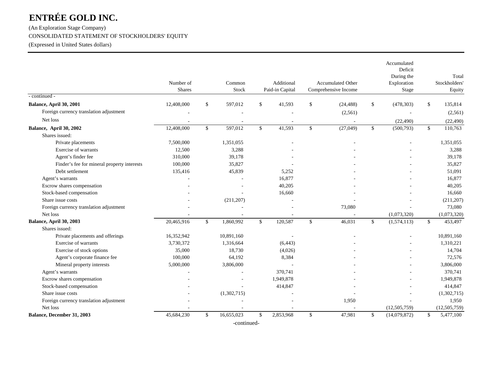(An Exploration Stage Company)

### CONSOLIDATED STATEMENT OF STOCKHOLDERS' EQUITY

(Expressed in United States dollars)

|                                             | Number of<br><b>Shares</b> |                    | Common<br>Stock |              | Additional<br>Paid-in Capital |              | Accumulated Other<br>Comprehensive Income | Accumulated<br>Deficit<br>During the<br>Exploration<br>Stage |              | Total<br>Stockholders'<br>Equity |
|---------------------------------------------|----------------------------|--------------------|-----------------|--------------|-------------------------------|--------------|-------------------------------------------|--------------------------------------------------------------|--------------|----------------------------------|
| - continued -                               |                            |                    |                 |              |                               |              |                                           |                                                              |              |                                  |
| Balance, April 30, 2001                     | 12,408,000                 | $\mathbb{S}$       | 597,012         | \$           | 41,593                        | $\mathbb{S}$ | (24, 488)                                 | \$<br>(478, 303)                                             | \$           | 135,814                          |
| Foreign currency translation adjustment     |                            |                    |                 |              |                               |              | (2, 561)                                  | $\overline{a}$                                               |              | (2,561)                          |
| Net loss                                    |                            |                    |                 |              |                               |              |                                           | (22, 490)                                                    |              | (22, 490)                        |
| Balance, April 30, 2002                     | 12,408,000                 | $\mathbf{\hat{S}}$ | 597,012         | $\mathbb{S}$ | 41,593                        | $\mathbb{S}$ | (27, 049)                                 | \$<br>(500, 793)                                             | $\mathbb{S}$ | 110,763                          |
| Shares issued:                              |                            |                    |                 |              |                               |              |                                           |                                                              |              |                                  |
| Private placements                          | 7,500,000                  |                    | 1,351,055       |              |                               |              |                                           |                                                              |              | 1,351,055                        |
| Exercise of warrants                        | 12,500                     |                    | 3,288           |              |                               |              |                                           |                                                              |              | 3,288                            |
| Agent's finder fee                          | 310,000                    |                    | 39,178          |              |                               |              |                                           |                                                              |              | 39,178                           |
| Finder's fee for mineral property interests | 100,000                    |                    | 35,827          |              |                               |              |                                           |                                                              |              | 35,827                           |
| Debt settlement                             | 135,416                    |                    | 45,839          |              | 5,252                         |              |                                           |                                                              |              | 51,091                           |
| Agent's warrants                            |                            |                    |                 |              | 16,877                        |              |                                           |                                                              |              | 16,877                           |
| Escrow shares compensation                  |                            |                    | $\sim$          |              | 40,205                        |              |                                           |                                                              |              | 40,205                           |
| Stock-based compensation                    |                            |                    |                 |              | 16,660                        |              |                                           |                                                              |              | 16,660                           |
| Share issue costs                           |                            |                    | (211, 207)      |              |                               |              |                                           |                                                              |              | (211, 207)                       |
| Foreign currency translation adjustment     |                            |                    |                 |              |                               |              | 73,080                                    |                                                              |              | 73,080                           |
| Net loss                                    |                            |                    |                 |              |                               |              |                                           | (1,073,320)                                                  |              | (1,073,320)                      |
| Balance, April 30, 2003                     | 20,465,916                 | $\mathbb{S}$       | 1,860,992       | \$           | 120,587                       | \$           | 46,031                                    | \$<br>$\overline{(1,574,113)}$                               | $\mathbb{S}$ | 453,497                          |
| Shares issued:                              |                            |                    |                 |              |                               |              |                                           |                                                              |              |                                  |
| Private placements and offerings            | 16,352,942                 |                    | 10,891,160      |              |                               |              |                                           |                                                              |              | 10,891,160                       |
| Exercise of warrants                        | 3,730,372                  |                    | 1,316,664       |              | (6, 443)                      |              |                                           |                                                              |              | 1,310,221                        |
| Exercise of stock options                   | 35,000                     |                    | 18,730          |              | (4,026)                       |              |                                           |                                                              |              | 14,704                           |
| Agent's corporate finance fee               | 100,000                    |                    | 64,192          |              | 8,384                         |              |                                           |                                                              |              | 72,576                           |
| Mineral property interests                  | 5,000,000                  |                    | 3,806,000       |              |                               |              |                                           |                                                              |              | 3,806,000                        |
| Agent's warrants                            |                            |                    |                 |              | 370,741                       |              |                                           |                                                              |              | 370,741                          |
| Escrow shares compensation                  |                            |                    |                 |              | 1,949,878                     |              |                                           |                                                              |              | 1,949,878                        |
| Stock-based compensation                    |                            |                    |                 |              | 414,847                       |              |                                           |                                                              |              | 414,847                          |
| Share issue costs                           |                            |                    | (1,302,715)     |              |                               |              |                                           |                                                              |              | (1,302,715)                      |
| Foreign currency translation adjustment     |                            |                    |                 |              |                               |              | 1,950                                     |                                                              |              | 1,950                            |
| Net loss                                    |                            |                    |                 |              |                               |              |                                           | (12, 505, 759)                                               |              | (12, 505, 759)                   |
| Balance, December 31, 2003                  | 45,684,230                 | $\mathbb{S}$       | 16,655,023      | \$           | 2,853,968                     | \$           | 47,981                                    | \$<br>(14,079,872)                                           | \$           | 5,477,100                        |
|                                             |                            |                    | -continued-     |              |                               |              |                                           |                                                              |              |                                  |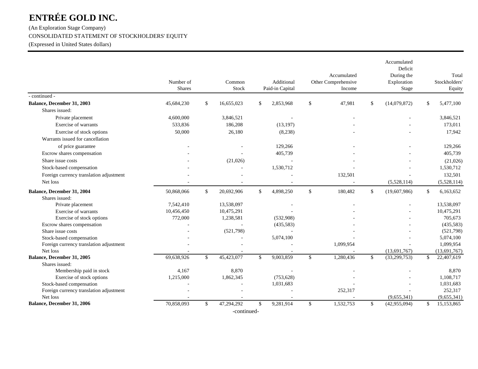(An Exploration Stage Company)

### CONSOLIDATED STATEMENT OF STOCKHOLDERS' EQUITY

(Expressed in United States dollars)

|                                         | Number of<br><b>Shares</b> |              | Common<br>Stock |              | Additional<br>Paid-in Capital |               | Accumulated<br>Other Comprehensive<br>Income | Accumulated<br>Deficit<br>During the<br>Exploration<br>Stage |               | Total<br>Stockholders<br>Equity |
|-----------------------------------------|----------------------------|--------------|-----------------|--------------|-------------------------------|---------------|----------------------------------------------|--------------------------------------------------------------|---------------|---------------------------------|
| - continued -                           |                            |              |                 |              |                               |               |                                              |                                                              |               |                                 |
| Balance, December 31, 2003              | 45,684,230                 | \$           | 16,655,023      | \$           | 2,853,968                     | $\mathbf{\$}$ | 47,981                                       | \$<br>(14,079,872)                                           | \$            | 5,477,100                       |
| Shares issued:                          |                            |              |                 |              |                               |               |                                              |                                                              |               |                                 |
| Private placement                       | 4,600,000                  |              | 3,846,521       |              |                               |               |                                              |                                                              |               | 3,846,521                       |
| Exercise of warrants                    | 533,836                    |              | 186,208         |              | (13, 197)                     |               |                                              |                                                              |               | 173,011                         |
| Exercise of stock options               | 50,000                     |              | 26,180          |              | (8,238)                       |               |                                              |                                                              |               | 17,942                          |
| Warrants issued for cancellation        |                            |              |                 |              |                               |               |                                              |                                                              |               |                                 |
| of price guarantee                      |                            |              |                 |              | 129,266                       |               |                                              |                                                              |               | 129,266                         |
| Escrow shares compensation              |                            |              |                 |              | 405,739                       |               |                                              |                                                              |               | 405,739                         |
| Share issue costs                       |                            |              | (21,026)        |              |                               |               |                                              |                                                              |               | (21,026)                        |
| Stock-based compensation                |                            |              |                 |              | 1,530,712                     |               |                                              |                                                              |               | 1,530,712                       |
| Foreign currency translation adjustment |                            |              |                 |              |                               |               | 132,501                                      |                                                              |               | 132,501                         |
| Net loss                                |                            |              | $\overline{a}$  |              |                               |               |                                              | (5,528,114)                                                  |               | (5,528,114)                     |
| Balance, December 31, 2004              | 50,868,066                 | \$           | 20,692,906      | $\mathbb{S}$ | 4,898,250                     | \$            | 180,482                                      | \$<br>(19,607,986)                                           | $\mathbf{s}$  | 6,163,652                       |
| Shares issued:                          |                            |              |                 |              |                               |               |                                              |                                                              |               |                                 |
| Private placement                       | 7,542,410                  |              | 13,538,097      |              |                               |               |                                              |                                                              |               | 13,538,097                      |
| Exercise of warrants                    | 10,456,450                 |              | 10,475,291      |              |                               |               |                                              |                                                              |               | 10,475,291                      |
| Exercise of stock options               | 772,000                    |              | 1,238,581       |              | (532,908)                     |               |                                              |                                                              |               | 705,673                         |
| Escrow shares compensation              |                            |              |                 |              | (435,583)                     |               |                                              |                                                              |               | (435,583)                       |
| Share issue costs                       |                            |              | (521,798)       |              |                               |               |                                              |                                                              |               | (521,798)                       |
| Stock-based compensation                |                            |              |                 |              | 5,074,100                     |               |                                              |                                                              |               | 5,074,100                       |
| Foreign currency translation adjustment |                            |              |                 |              |                               |               | 1,099,954                                    |                                                              |               | 1,099,954                       |
| Net loss                                |                            |              |                 |              |                               |               |                                              | (13,691,767)                                                 |               | (13,691,767)                    |
| Balance, December 31, 2005              | 69,638,926                 | $\mathbb{S}$ | 45,423,077      | $\mathbb{S}$ | 9,003,859                     | $\mathbb{S}$  | 1,280,436                                    | \$<br>(33,299,753)                                           | $\mathbf{\$}$ | 22,407,619                      |
| Shares issued:                          |                            |              |                 |              |                               |               |                                              |                                                              |               |                                 |
| Membership paid in stock                | 4,167                      |              | 8,870           |              |                               |               |                                              |                                                              |               | 8,870                           |
| Exercise of stock options               | 1,215,000                  |              | 1,862,345       |              | (753, 628)                    |               |                                              |                                                              |               | 1,108,717                       |
| Stock-based compensation                |                            |              |                 |              | 1,031,683                     |               |                                              |                                                              |               | 1,031,683                       |
| Foreign currency translation adjustment |                            |              |                 |              |                               |               | 252,317                                      |                                                              |               | 252,317                         |
| Net loss                                |                            |              |                 |              |                               |               |                                              | (9,655,341)                                                  |               | (9,655,341)                     |
| Balance, December 31, 2006              | 70,858,093                 | $\mathbb{S}$ | 47,294,292      | \$           | 9,281,914                     | \$            | 1,532,753                                    | \$<br>(42, 955, 094)                                         | \$            | 15,153,865                      |
|                                         |                            |              | -continued-     |              |                               |               |                                              |                                                              |               |                                 |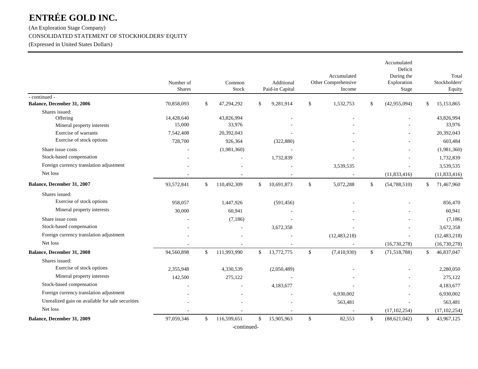### (An Exploration Stage Company) CONSOLIDATED STATEMENT OF STOCKHOLDERS' EQUITY

(Expressed in United States Dollars)

|                                                  | Number of<br>Shares |              | Common<br>Stock | Additional<br>Paid-in Capital |              | Accumulated<br>Other Comprehensive<br>Income | Accumulated<br>Deficit<br>During the<br>Exploration<br>Stage |               | Total<br>Stockholders'<br>Equity |
|--------------------------------------------------|---------------------|--------------|-----------------|-------------------------------|--------------|----------------------------------------------|--------------------------------------------------------------|---------------|----------------------------------|
| - continued -<br>Balance, December 31, 2006      | 70,858,093          | $\mathbb{S}$ | 47,294,292      | \$<br>9,281,914               | $\mathbb{S}$ | 1,532,753                                    | \$<br>(42, 955, 094)                                         | \$            | 15,153,865                       |
| Shares issued:                                   |                     |              |                 |                               |              |                                              |                                                              |               |                                  |
| Offering                                         | 14,428,640          |              | 43,826,994      |                               |              |                                              |                                                              |               | 43,826,994                       |
| Mineral property interests                       | 15,000              |              | 33,976          |                               |              |                                              |                                                              |               | 33,976                           |
| Exercise of warrants                             | 7,542,408           |              | 20,392,043      |                               |              |                                              |                                                              |               | 20,392,043                       |
| Exercise of stock options                        | 728,700             |              | 926,364         | (322, 880)                    |              |                                              |                                                              |               | 603,484                          |
| Share issue costs                                |                     |              | (1,981,360)     |                               |              |                                              |                                                              |               | (1,981,360)                      |
| Stock-based compensation                         |                     |              |                 | 1,732,839                     |              |                                              |                                                              |               | 1,732,839                        |
| Foreign currency translation adjustment          |                     |              |                 |                               |              | 3,539,535                                    |                                                              |               | 3,539,535                        |
| Net loss                                         |                     |              |                 |                               |              |                                              | (11,833,416)                                                 |               | (11, 833, 416)                   |
| Balance, December 31, 2007                       | 93,572,841          | $\mathbb{S}$ | 110,492,309     | \$<br>10,691,873              | $\mathbb{S}$ | 5,072,288                                    | \$<br>(54, 788, 510)                                         | \$            | 71,467,960                       |
| Shares issued:                                   |                     |              |                 |                               |              |                                              |                                                              |               |                                  |
| Exercise of stock options                        | 958,057             |              | 1,447,926       | (591, 456)                    |              |                                              |                                                              |               | 856,470                          |
| Mineral property interests                       | 30,000              |              | 60,941          |                               |              |                                              |                                                              |               | 60,941                           |
| Share issue costs                                |                     |              | (7,186)         |                               |              |                                              |                                                              |               | (7, 186)                         |
| Stock-based compensation                         |                     |              |                 | 3,672,358                     |              |                                              |                                                              |               | 3,672,358                        |
| Foreign currency translation adjustment          |                     |              |                 |                               |              | (12, 483, 218)                               |                                                              |               | (12, 483, 218)                   |
| Net loss                                         |                     |              |                 |                               |              |                                              | (16,730,278)                                                 |               | (16,730,278)                     |
| Balance, December 31, 2008                       | 94,560,898          | $\mathbb{S}$ | 111,993,990     | \$<br>13,772,775              | \$           | (7,410,930)                                  | \$<br>(71,518,788)                                           | \$            | 46,837,047                       |
| Shares issued:                                   |                     |              |                 |                               |              |                                              |                                                              |               |                                  |
| Exercise of stock options                        | 2,355,948           |              | 4,330,539       | (2,050,489)                   |              |                                              |                                                              |               | 2,280,050                        |
| Mineral property interests                       | 142,500             |              | 275,122         |                               |              |                                              |                                                              |               | 275,122                          |
| Stock-based compensation                         |                     |              |                 | 4,183,677                     |              |                                              |                                                              |               | 4,183,677                        |
| Foreign currency translation adjustment          |                     |              |                 |                               |              | 6,930,002                                    |                                                              |               | 6,930,002                        |
| Unrealized gain on available for sale securities |                     |              |                 |                               |              | 563,481                                      |                                                              |               | 563,481                          |
| Net loss                                         |                     |              |                 |                               |              |                                              | (17, 102, 254)                                               |               | (17, 102, 254)                   |
| Balance, December 31, 2009                       | 97,059,346          | $\mathbb{S}$ | 116,599,651     | \$<br>15,905,963              | $\mathbb{S}$ | 82,553                                       | \$<br>(88, 621, 042)                                         | $\mathcal{S}$ | 43,967,125                       |
|                                                  |                     |              | -continued-     |                               |              |                                              |                                                              |               |                                  |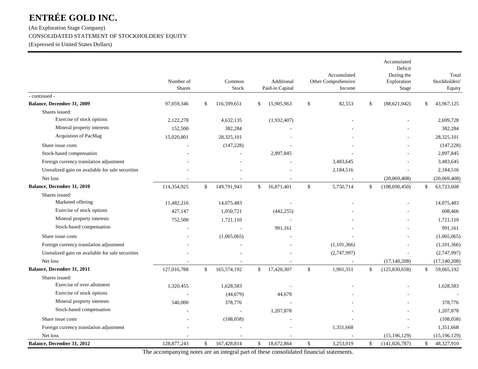### (An Exploration Stage Company) CONSOLIDATED STATEMENT OF STOCKHOLDERS' EQUITY

(Expressed in United States Dollars)

|                                                  |               |               |             |                          |              |                     |              | Accumulated           |              |                |
|--------------------------------------------------|---------------|---------------|-------------|--------------------------|--------------|---------------------|--------------|-----------------------|--------------|----------------|
|                                                  |               |               |             |                          |              | Accumulated         |              | Deficit<br>During the |              | Total          |
|                                                  | Number of     |               | Common      | Additional               |              | Other Comprehensive |              | Exploration           |              | Stockholders'  |
|                                                  | <b>Shares</b> |               | Stock       | Paid-in Capital          |              | Income              |              | Stage                 |              | Equity         |
| - continued -                                    |               |               |             |                          |              |                     |              |                       |              |                |
| Balance, December 31, 2009                       | 97,059,346    | <sup>\$</sup> | 116,599,651 | \$<br>15,905,963         | \$           | 82,553              | \$           | (88, 621, 042)        | \$           | 43,967,125     |
| Shares issued:                                   |               |               |             |                          |              |                     |              |                       |              |                |
| Exercise of stock options                        | 2,122,278     |               | 4,632,135   | (1,932,407)              |              |                     |              |                       |              | 2,699,728      |
| Mineral property interests                       | 152,500       |               | 382,284     |                          |              |                     |              |                       |              | 382,284        |
| Acquistion of PacMag                             | 15,020,801    |               | 28,325,101  |                          |              |                     |              |                       |              | 28,325,101     |
| Share issue costs                                |               |               | (147, 228)  |                          |              |                     |              |                       |              | (147, 228)     |
| Stock-based compensation                         |               |               |             | 2,897,845                |              |                     |              |                       |              | 2,897,845      |
| Foreign currency translation adjustment          |               |               |             |                          |              | 3,483,645           |              |                       |              | 3,483,645      |
| Unrealized gain on available for sale securities |               |               |             |                          |              | 2,184,516           |              |                       |              | 2,184,516      |
| Net loss                                         |               |               |             |                          |              |                     |              | (20,069,408)          |              | (20,069,408)   |
| Balance, December 31, 2010                       | 114,354,925   | $\mathbb{S}$  | 149,791,943 | \$<br>16,871,401         | $\mathbb{S}$ | 5,750,714           | $\mathbb{S}$ | (108, 690, 450)       | \$           | 63,723,608     |
| Shares issued:                                   |               |               |             |                          |              |                     |              |                       |              |                |
| Marketed offering                                | 11,482,216    |               | 14,075,483  |                          |              |                     |              |                       |              | 14.075.483     |
| Exercise of stock options                        | 427,147       |               | 1,050,721   | (442, 255)               |              |                     |              |                       |              | 608,466        |
| Mineral property interests                       | 752,500       |               | 1,721,110   |                          |              |                     |              |                       |              | 1,721,110      |
| Stock-based compensation                         |               |               |             | 991,161                  |              |                     |              |                       |              | 991,161        |
| Share issue costs                                |               |               | (1,065,065) |                          |              |                     |              |                       |              | (1,065,065)    |
| Foreign currency translation adjustment          |               |               |             |                          |              | (1,101,366)         |              |                       |              | (1,101,366)    |
| Unrealized gain on available for sale securities |               |               |             |                          |              | (2,747,997)         |              |                       |              | (2,747,997)    |
| Net loss                                         |               |               |             | $\overline{\phantom{a}}$ |              |                     |              | (17, 140, 208)        |              | (17, 140, 208) |
| Balance, December 31, 2011                       | 127,016,788   | $\mathbb{S}$  | 165,574,192 | \$<br>17,420,307         | $\mathbb{S}$ | 1,901,351           | \$           | (125, 830, 658)       | \$           | 59,065,192     |
| Shares issued:                                   |               |               |             |                          |              |                     |              |                       |              |                |
| Exercise of over allotment                       | 1,320,455     |               | 1,628,583   |                          |              |                     |              |                       |              | 1,628,583      |
| Exercise of stock options                        |               |               | (44, 679)   | 44,679                   |              |                     |              |                       |              |                |
| Mineral property interests                       | 540,000       |               | 378,776     |                          |              |                     |              |                       |              | 378,776        |
| Stock-based compensation                         |               |               |             | 1,207,878                |              |                     |              |                       |              | 1,207,878      |
| Share issue costs                                |               |               | (108, 058)  |                          |              |                     |              |                       |              | (108, 058)     |
| Foreign currency translation adjustment          |               |               |             |                          |              | 1,351,668           |              |                       |              | 1,351,668      |
| Net loss                                         |               |               |             |                          |              |                     |              | (15, 196, 129)        |              | (15, 196, 129) |
| Balance, December 31, 2012                       | 128,877,243   | \$            | 167,428,814 | 18,672,864               | $\mathbb S$  | 3,253,019           | $\mathbb S$  | (141, 026, 787)       | $\mathbb{S}$ | 48,327,910     |
|                                                  |               |               |             | \$                       |              |                     |              |                       |              |                |

The accompanying notes are an integral part of these consolidated financial statements.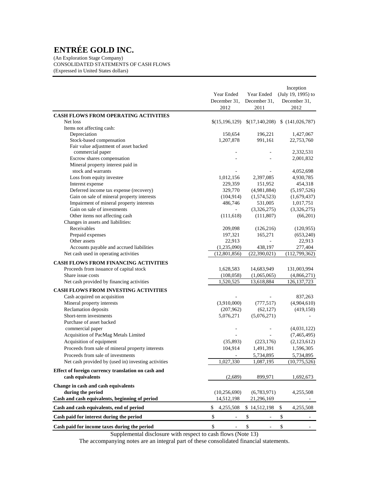(An Exploration Stage Company) CONSOLIDATED STATEMENTS OF CASH FLOWS (Expressed in United States dollars)

|                                                                         |                   |                | Inception                          |
|-------------------------------------------------------------------------|-------------------|----------------|------------------------------------|
|                                                                         | Year Ended        | Year Ended     | (July 19, 1995) to                 |
|                                                                         | December 31.      | December 31.   | December 31,                       |
|                                                                         | 2012              | 2011           | 2012                               |
| <b>CASH FLOWS FROM OPERATING ACTIVITIES</b>                             |                   |                |                                    |
| Net loss                                                                | \$(15,196,129)    |                | $$(17,140,208)$ \; $(141,026,787)$ |
| Items not affecting cash:                                               |                   |                |                                    |
| Depreciation                                                            | 150,654           | 196,221        | 1,427,067                          |
| Stock-based compensation                                                | 1,207,878         | 991,161        | 22,753,760                         |
| Fair value adjustment of asset backed                                   |                   |                |                                    |
| commercial paper                                                        |                   |                | 2,332,531                          |
| Escrow shares compensation                                              |                   |                | 2,001,832                          |
| Mineral property interest paid in                                       |                   |                |                                    |
| stock and warrants                                                      |                   |                | 4,052,698                          |
| Loss from equity investee                                               | 1,012,156         | 2,397,085      | 4,930,785                          |
| Interest expense                                                        | 229,359           | 151,952        | 454,318                            |
| Deferred income tax expense (recovery)                                  | 329,770           | (4,981,884)    | (5,197,526)                        |
| Gain on sale of mineral property interests                              | (104, 914)        | (1,574,523)    | (1,679,437)                        |
| Impairment of mineral property interests<br>Gain on sale of investments | 486,746<br>$\sim$ | 531,005        | 1,017,751                          |
|                                                                         |                   | (3,326,275)    | (3,326,275)                        |
| Other items not affecting cash<br>Changes in assets and liabilities:    | (111, 618)        | (111, 807)     | (66,201)                           |
| Receivables                                                             | 209,098           | (126, 216)     |                                    |
| Prepaid expenses                                                        | 197,321           | 165,271        | (120, 955)                         |
| Other assets                                                            | 22,913            |                | (653,240)<br>22,913                |
| Accounts payable and accrued liabilities                                | (1,235,090)       | 438,197        | 277,404                            |
| Net cash used in operating activities                                   | (12, 801, 856)    | (22, 390, 021) | (112, 799, 362)                    |
|                                                                         |                   |                |                                    |
| <b>CASH FLOWS FROM FINANCING ACTIVITIES</b>                             |                   |                |                                    |
| Proceeds from issuance of capital stock                                 | 1,628,583         | 14,683,949     | 131,003,994                        |
| Share issue costs                                                       | (108, 058)        | (1,065,065)    | (4,866,271)                        |
| Net cash provided by financing activities                               | 1,520,525         | 13,618,884     | 126, 137, 723                      |
| <b>CASH FLOWS FROM INVESTING ACTIVITIES</b>                             |                   |                |                                    |
| Cash acquired on acquisition                                            |                   |                | 837,263                            |
| Mineral property interests                                              | (3,910,000)       | (777, 517)     | (4,904,610)                        |
| Reclamation deposits                                                    | (207,962)         | (62, 127)      | (419, 150)                         |
| Short-term investments                                                  | 5,076,271         | (5,076,271)    |                                    |
| Purchase of asset backed                                                |                   |                |                                    |
| commercial paper                                                        |                   |                | (4,031,122)                        |
| Acquisition of PacMag Metals Limited                                    |                   |                | (7,465,495)                        |
| Acquisition of equipment                                                | (35,893)          | (223, 176)     | (2,123,612)                        |
| Proceeds from sale of mineral property interests                        | 104,914           | 1,491,391      | 1,596,305                          |
| Proceeds from sale of investments                                       |                   | 5,734,895      | 5,734,895                          |
| Net cash provided by (used in) investing activities                     | 1,027,330         | 1,087,195      | (10, 775, 526)                     |
| Effect of foreign currency translation on cash and                      |                   |                |                                    |
| cash equivalents                                                        |                   |                |                                    |
|                                                                         | (2,689)           | 899,971        | 1,692,673                          |
| Change in cash and cash equivalents                                     |                   |                |                                    |
| during the period                                                       | (10, 256, 690)    | (6,783,971)    | 4,255,508                          |
| Cash and cash equivalents, beginning of period                          | 14,512,198        | 21,296,169     |                                    |
| Cash and cash equivalents, end of period                                | 4,255,508<br>\$   | \$14,512,198   | 4,255,508<br>\$                    |
| Cash paid for interest during the period                                | $\$$              | \$             | \$                                 |
| Cash paid for income taxes during the period                            | \$                | \$             | \$                                 |

Supplemental disclosure with respect to cash flows (Note 13)

The accompanying notes are an integral part of these consolidated financial statements.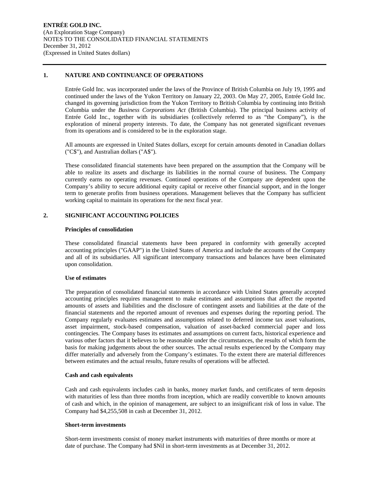#### **1. NATURE AND CONTINUANCE OF OPERATIONS**

Entrée Gold Inc. was incorporated under the laws of the Province of British Columbia on July 19, 1995 and continued under the laws of the Yukon Territory on January 22, 2003. On May 27, 2005, Entrée Gold Inc. changed its governing jurisdiction from the Yukon Territory to British Columbia by continuing into British Columbia under the *Business Corporations Act* (British Columbia). The principal business activity of Entrée Gold Inc., together with its subsidiaries (collectively referred to as "the Company"), is the exploration of mineral property interests. To date, the Company has not generated significant revenues from its operations and is considered to be in the exploration stage.

All amounts are expressed in United States dollars, except for certain amounts denoted in Canadian dollars ("C\$"), and Australian dollars ("A\$").

These consolidated financial statements have been prepared on the assumption that the Company will be able to realize its assets and discharge its liabilities in the normal course of business. The Company currently earns no operating revenues. Continued operations of the Company are dependent upon the Company's ability to secure additional equity capital or receive other financial support, and in the longer term to generate profits from business operations. Management believes that the Company has sufficient working capital to maintain its operations for the next fiscal year.

#### **2. SIGNIFICANT ACCOUNTING POLICIES**

#### **Principles of consolidation**

These consolidated financial statements have been prepared in conformity with generally accepted accounting principles ("GAAP") in the United States of America and include the accounts of the Company and all of its subsidiaries. All significant intercompany transactions and balances have been eliminated upon consolidation.

#### **Use of estimates**

The preparation of consolidated financial statements in accordance with United States generally accepted accounting principles requires management to make estimates and assumptions that affect the reported amounts of assets and liabilities and the disclosure of contingent assets and liabilities at the date of the financial statements and the reported amount of revenues and expenses during the reporting period. The Company regularly evaluates estimates and assumptions related to deferred income tax asset valuations, asset impairment, stock-based compensation, valuation of asset-backed commercial paper and loss contingencies. The Company bases its estimates and assumptions on current facts, historical experience and various other factors that it believes to be reasonable under the circumstances, the results of which form the basis for making judgements about the other sources. The actual results experienced by the Company may differ materially and adversely from the Company's estimates. To the extent there are material differences between estimates and the actual results, future results of operations will be affected.

#### **Cash and cash equivalents**

Cash and cash equivalents includes cash in banks, money market funds, and certificates of term deposits with maturities of less than three months from inception, which are readily convertible to known amounts of cash and which, in the opinion of management, are subject to an insignificant risk of loss in value. The Company had \$4,255,508 in cash at December 31, 2012.

#### **Short-term investments**

Short-term investments consist of money market instruments with maturities of three months or more at date of purchase. The Company had \$Nil in short-term investments as at December 31, 2012.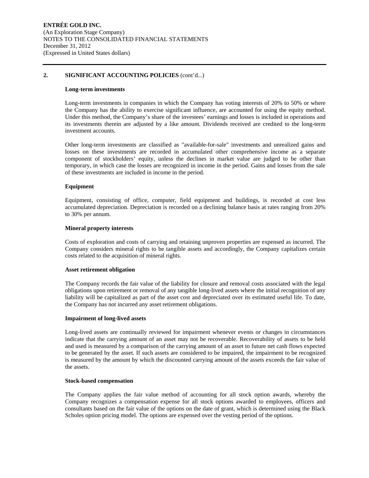#### **2. SIGNIFICANT ACCOUNTING POLICIES** (cont'd...)

#### **Long-term investments**

Long-term investments in companies in which the Company has voting interests of 20% to 50% or where the Company has the ability to exercise significant influence, are accounted for using the equity method. Under this method, the Company's share of the investees' earnings and losses is included in operations and its investments therein are adjusted by a like amount. Dividends received are credited to the long-term investment accounts.

Other long-term investments are classified as "available-for-sale" investments and unrealized gains and losses on these investments are recorded in accumulated other comprehensive income as a separate component of stockholders' equity, unless the declines in market value are judged to be other than temporary, in which case the losses are recognized in income in the period. Gains and losses from the sale of these investments are included in income in the period.

#### **Equipment**

Equipment, consisting of office, computer, field equipment and buildings, is recorded at cost less accumulated depreciation. Depreciation is recorded on a declining balance basis at rates ranging from 20% to 30% per annum.

#### **Mineral property interests**

Costs of exploration and costs of carrying and retaining unproven properties are expensed as incurred. The Company considers mineral rights to be tangible assets and accordingly, the Company capitalizes certain costs related to the acquisition of mineral rights.

#### **Asset retirement obligation**

The Company records the fair value of the liability for closure and removal costs associated with the legal obligations upon retirement or removal of any tangible long-lived assets where the initial recognition of any liability will be capitalized as part of the asset cost and depreciated over its estimated useful life. To date, the Company has not incurred any asset retirement obligations.

#### **Impairment of long-lived assets**

Long-lived assets are continually reviewed for impairment whenever events or changes in circumstances indicate that the carrying amount of an asset may not be recoverable. Recoverability of assets to be held and used is measured by a comparison of the carrying amount of an asset to future net cash flows expected to be generated by the asset. If such assets are considered to be impaired, the impairment to be recognized is measured by the amount by which the discounted carrying amount of the assets exceeds the fair value of the assets.

#### **Stock-based compensation**

The Company applies the fair value method of accounting for all stock option awards, whereby the Company recognizes a compensation expense for all stock options awarded to employees, officers and consultants based on the fair value of the options on the date of grant, which is determined using the Black Scholes option pricing model. The options are expensed over the vesting period of the options.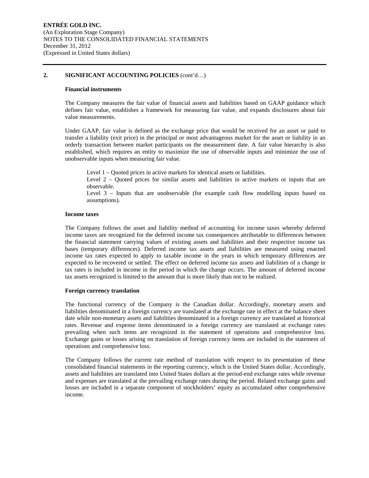#### **2. SIGNIFICANT ACCOUNTING POLICIES** (cont'd…)

#### **Financial instruments**

The Company measures the fair value of financial assets and liabilities based on GAAP guidance which defines fair value, establishes a framework for measuring fair value, and expands disclosures about fair value measurements.

Under GAAP, fair value is defined as the exchange price that would be received for an asset or paid to transfer a liability (exit price) in the principal or most advantageous market for the asset or liability in an orderly transaction between market participants on the measurement date. A fair value hierarchy is also established, which requires an entity to maximize the use of observable inputs and minimize the use of unobservable inputs when measuring fair value.

Level 1 – Quoted prices in active markets for identical assets or liabilities.

Level 2 – Quoted prices for similar assets and liabilities in active markets or inputs that are observable.

Level 3 – Inputs that are unobservable (for example cash flow modelling inputs based on assumptions).

#### **Income taxes**

The Company follows the asset and liability method of accounting for income taxes whereby deferred income taxes are recognized for the deferred income tax consequences attributable to differences between the financial statement carrying values of existing assets and liabilities and their respective income tax bases (temporary differences). Deferred income tax assets and liabilities are measured using enacted income tax rates expected to apply to taxable income in the years in which temporary differences are expected to be recovered or settled. The effect on deferred income tax assets and liabilities of a change in tax rates is included in income in the period in which the change occurs. The amount of deferred income tax assets recognized is limited to the amount that is more likely than not to be realized.

#### **Foreign currency translation**

The functional currency of the Company is the Canadian dollar. Accordingly, monetary assets and liabilities denominated in a foreign currency are translated at the exchange rate in effect at the balance sheet date while non-monetary assets and liabilities denominated in a foreign currency are translated at historical rates. Revenue and expense items denominated in a foreign currency are translated at exchange rates prevailing when such items are recognized in the statement of operations and comprehensive loss. Exchange gains or losses arising on translation of foreign currency items are included in the statement of operations and comprehensive loss.

The Company follows the current rate method of translation with respect to its presentation of these consolidated financial statements in the reporting currency, which is the United States dollar. Accordingly, assets and liabilities are translated into United States dollars at the period-end exchange rates while revenue and expenses are translated at the prevailing exchange rates during the period. Related exchange gains and losses are included in a separate component of stockholders' equity as accumulated other comprehensive income.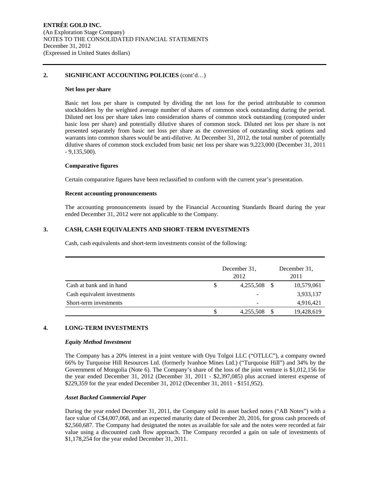#### **2. SIGNIFICANT ACCOUNTING POLICIES** (cont'd…)

#### **Net loss per share**

Basic net loss per share is computed by dividing the net loss for the period attributable to common stockholders by the weighted average number of shares of common stock outstanding during the period. Diluted net loss per share takes into consideration shares of common stock outstanding (computed under basic loss per share) and potentially dilutive shares of common stock. Diluted net loss per share is not presented separately from basic net loss per share as the conversion of outstanding stock options and warrants into common shares would be anti-dilutive. At December 31, 2012, the total number of potentially dilutive shares of common stock excluded from basic net loss per share was 9,223,000 (December 31, 2011 - 9,135,500).

#### **Comparative figures**

Certain comparative figures have been reclassified to conform with the current year's presentation.

#### **Recent accounting pronouncements**

The accounting pronouncements issued by the Financial Accounting Standards Board during the year ended December 31, 2012 were not applicable to the Company.

#### **3. CASH, CASH EQUIVALENTS AND SHORT-TERM INVESTMENTS**

Cash, cash equivalents and short-term investments consist of the following:

|                             | December 31,<br>2012 |    | December 31,<br>2011 |
|-----------------------------|----------------------|----|----------------------|
| Cash at bank and in hand    | 4,255,508            | -S | 10,579,061           |
| Cash equivalent investments |                      |    | 3,933,137            |
| Short-term investments      | -                    |    | 4,916,421            |
|                             | 4,255,508            |    | 19,428,619           |

#### **4. LONG-TERM INVESTMENTS**

#### *Equity Method Investment*

The Company has a 20% interest in a joint venture with Oyu Tolgoi LLC ("OTLLC"), a company owned 66% by Turquoise Hill Resources Ltd. (formerly Ivanhoe Mines Ltd.) ("Turquoise Hill") and 34% by the Government of Mongolia (Note 6). The Company's share of the loss of the joint venture is \$1,012,156 for the year ended December 31, 2012 (December 31, 2011 - \$2,397,085) plus accrued interest expense of \$229,359 for the year ended December 31, 2012 (December 31, 2011 - \$151,952).

#### *Asset Backed Commercial Paper*

During the year ended December 31, 2011, the Company sold its asset backed notes ("AB Notes") with a face value of C\$4,007,068, and an expected maturity date of December 20, 2016, for gross cash proceeds of \$2,560,687. The Company had designated the notes as available for sale and the notes were recorded at fair value using a discounted cash flow approach. The Company recorded a gain on sale of investments of \$1,178,254 for the year ended December 31, 2011.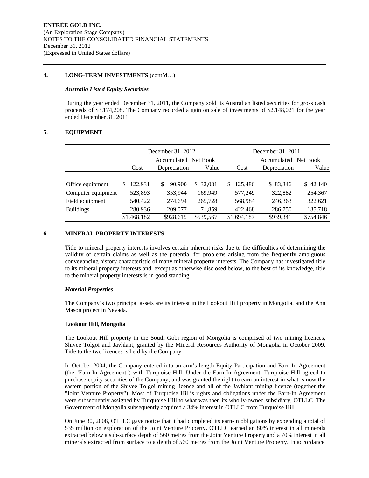#### **4. LONG-TERM INVESTMENTS** (cont'd…)

#### *Australia Listed Equity Securities*

During the year ended December 31, 2011, the Company sold its Australian listed securities for gross cash proceeds of \$3,174,208. The Company recorded a gain on sale of investments of \$2,148,021 for the year ended December 31, 2011.

#### **5. EQUIPMENT**

|                    |     |             |   | December 31, 2012 | Accumulated Net Book | December 31, 2011<br>Accumulated Net Book |             |              |           |  |
|--------------------|-----|-------------|---|-------------------|----------------------|-------------------------------------------|-------------|--------------|-----------|--|
|                    |     | Cost        |   | Depreciation      | Value                |                                           | Cost        | Depreciation | Value     |  |
|                    |     |             |   |                   |                      |                                           |             |              |           |  |
| Office equipment   | \$. | 122.931     | S | 90,900            | \$ 32,031            | S                                         | 125.486     | \$ 83,346    | \$42,140  |  |
| Computer equipment |     | 523,893     |   | 353,944           | 169,949              |                                           | 577.249     | 322,882      | 254,367   |  |
| Field equipment    |     | 540,422     |   | 274,694           | 265,728              |                                           | 568,984     | 246,363      | 322,621   |  |
| <b>Buildings</b>   |     | 280,936     |   | 209,077           | 71.859               |                                           | 422.468     | 286,750      | 135,718   |  |
|                    |     | \$1,468,182 |   | \$928,615         | \$539,567            |                                           | \$1,694,187 | \$939,341    | \$754,846 |  |

#### **6. MINERAL PROPERTY INTERESTS**

Title to mineral property interests involves certain inherent risks due to the difficulties of determining the validity of certain claims as well as the potential for problems arising from the frequently ambiguous conveyancing history characteristic of many mineral property interests. The Company has investigated title to its mineral property interests and, except as otherwise disclosed below, to the best of its knowledge, title to the mineral property interests is in good standing.

#### *Material Properties*

The Company's two principal assets are its interest in the Lookout Hill property in Mongolia, and the Ann Mason project in Nevada.

#### **Lookout Hill, Mongolia**

The Lookout Hill property in the South Gobi region of Mongolia is comprised of two mining licences, Shivee Tolgoi and Javhlant, granted by the Mineral Resources Authority of Mongolia in October 2009. Title to the two licences is held by the Company.

In October 2004, the Company entered into an arm's-length Equity Participation and Earn-In Agreement (the "Earn-In Agreement") with Turquoise Hill. Under the Earn-In Agreement, Turquoise Hill agreed to purchase equity securities of the Company, and was granted the right to earn an interest in what is now the eastern portion of the Shivee Tolgoi mining licence and all of the Javhlant mining licence (together the "Joint Venture Property"). Most of Turquoise Hill's rights and obligations under the Earn-In Agreement were subsequently assigned by Turquoise Hill to what was then its wholly-owned subsidiary, OTLLC. The Government of Mongolia subsequently acquired a 34% interest in OTLLC from Turquoise Hill.

On June 30, 2008, OTLLC gave notice that it had completed its earn-in obligations by expending a total of \$35 million on exploration of the Joint Venture Property. OTLLC earned an 80% interest in all minerals extracted below a sub-surface depth of 560 metres from the Joint Venture Property and a 70% interest in all minerals extracted from surface to a depth of 560 metres from the Joint Venture Property. In accordance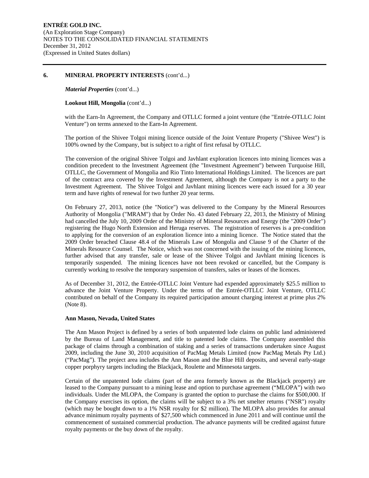#### **6. MINERAL PROPERTY INTERESTS** (cont'd...)

*Material Properties* (cont'd...)

**Lookout Hill, Mongolia** (cont'd...)

with the Earn-In Agreement, the Company and OTLLC formed a joint venture (the "Entrée-OTLLC Joint Venture") on terms annexed to the Earn-In Agreement.

The portion of the Shivee Tolgoi mining licence outside of the Joint Venture Property ("Shivee West") is 100% owned by the Company, but is subject to a right of first refusal by OTLLC.

The conversion of the original Shivee Tolgoi and Javhlant exploration licences into mining licences was a condition precedent to the Investment Agreement (the "Investment Agreement") between Turquoise Hill, OTLLC, the Government of Mongolia and Rio Tinto International Holdings Limited. The licences are part of the contract area covered by the Investment Agreement, although the Company is not a party to the Investment Agreement. The Shivee Tolgoi and Javhlant mining licences were each issued for a 30 year term and have rights of renewal for two further 20 year terms.

On February 27, 2013, notice (the "Notice") was delivered to the Company by the Mineral Resources Authority of Mongolia ("MRAM") that by Order No. 43 dated February 22, 2013, the Ministry of Mining had cancelled the July 10, 2009 Order of the Ministry of Mineral Resources and Energy (the "2009 Order") registering the Hugo North Extension and Heruga reserves. The registration of reserves is a pre-condition to applying for the conversion of an exploration licence into a mining licence. The Notice stated that the 2009 Order breached Clause 48.4 of the Minerals Law of Mongolia and Clause 9 of the Charter of the Minerals Resource Counsel. The Notice, which was not concerned with the issuing of the mining licences, further advised that any transfer, sale or lease of the Shivee Tolgoi and Javhlant mining licences is temporarily suspended. The mining licences have not been revoked or cancelled, but the Company is currently working to resolve the temporary suspension of transfers, sales or leases of the licences.

As of December 31, 2012, the Entrée-OTLLC Joint Venture had expended approximately \$25.5 million to advance the Joint Venture Property. Under the terms of the Entrée-OTLLC Joint Venture, OTLLC contributed on behalf of the Company its required participation amount charging interest at prime plus 2% (Note 8).

#### **Ann Mason, Nevada, United States**

The Ann Mason Project is defined by a series of both unpatented lode claims on public land administered by the Bureau of Land Management, and title to patented lode claims. The Company assembled this package of claims through a combination of staking and a series of transactions undertaken since August 2009, including the June 30, 2010 acquisition of PacMag Metals Limited (now PacMag Metals Pty Ltd.) ("PacMag"). The project area includes the Ann Mason and the Blue Hill deposits, and several early-stage copper porphyry targets including the Blackjack, Roulette and Minnesota targets.

Certain of the unpatented lode claims (part of the area formerly known as the Blackjack property) are leased to the Company pursuant to a mining lease and option to purchase agreement ("MLOPA") with two individuals. Under the MLOPA, the Company is granted the option to purchase the claims for \$500,000. If the Company exercises its option, the claims will be subject to a 3% net smelter returns ("NSR") royalty (which may be bought down to a 1% NSR royalty for \$2 million). The MLOPA also provides for annual advance minimum royalty payments of \$27,500 which commenced in June 2011 and will continue until the commencement of sustained commercial production. The advance payments will be credited against future royalty payments or the buy down of the royalty.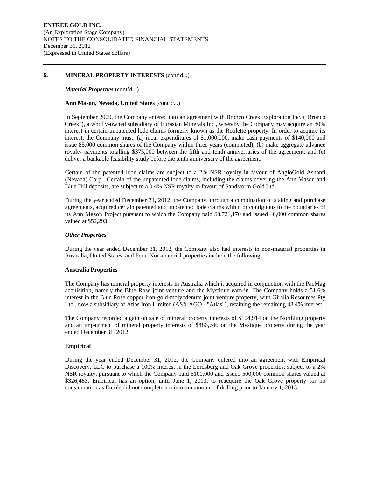#### **6. MINERAL PROPERTY INTERESTS** (cont'd...)

#### *Material Properties* (cont'd...)

#### **Ann Mason, Nevada, United States** (cont'd...)

In September 2009, the Company entered into an agreement with Bronco Creek Exploration Inc. ("Bronco Creek"), a wholly-owned subsidiary of Eurasian Minerals Inc., whereby the Company may acquire an 80% interest in certain unpatented lode claims formerly known as the Roulette property. In order to acquire its interest, the Company must: (a) incur expenditures of \$1,000,000, make cash payments of \$140,000 and issue 85,000 common shares of the Company within three years (completed); (b) make aggregate advance royalty payments totalling \$375,000 between the fifth and tenth anniversaries of the agreement; and (c) deliver a bankable feasibility study before the tenth anniversary of the agreement.

Certain of the patented lode claims are subject to a 2% NSR royalty in favour of AngloGold Ashanti (Nevada) Corp. Certain of the unpatented lode claims, including the claims covering the Ann Mason and Blue Hill deposits, are subject to a 0.4% NSR royalty in favour of Sandstorm Gold Ltd.

During the year ended December 31, 2012, the Company, through a combination of staking and purchase agreements, acquired certain patented and unpatented lode claims within or contiguous to the boundaries of its Ann Mason Project pursuant to which the Company paid \$3,721,170 and issued 40,000 common shares valued at \$52,293.

#### *Other Properties*

During the year ended December 31, 2012, the Company also had interests in non-material properties in Australia, United States, and Peru. Non-material properties include the following:

#### **Australia Properties**

The Company has mineral property interests in Australia which it acquired in conjunction with the PacMag acquisition, namely the Blue Rose joint venture and the Mystique earn-in. The Company holds a 51.6% interest in the Blue Rose copper-iron-gold-molybdenum joint venture property, with Giralia Resources Pty Ltd., now a subsidiary of Atlas Iron Limited (ASX:AGO - "Atlas"), retaining the remaining 48.4% interest.

The Company recorded a gain on sale of mineral property interests of \$104,914 on the Northling property and an impairment of mineral property interests of \$486,746 on the Mystique property during the year ended December 31, 2012.

#### **Empirical**

During the year ended December 31, 2012, the Company entered into an agreement with Empirical Discovery, LLC to purchase a 100% interest in the Lordsburg and Oak Grove properties, subject to a 2% NSR royalty, pursuant to which the Company paid \$100,000 and issued 500,000 common shares valued at \$326,483. Empirical has an option, until June 1, 2013, to reacquire the Oak Grove property for no consideration as Entrée did not complete a minimum amount of drilling prior to January 1, 2013.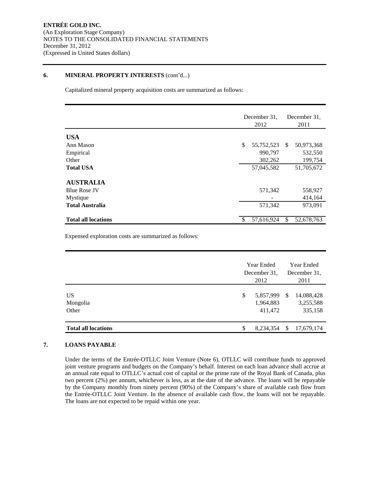#### **6. MINERAL PROPERTY INTERESTS** (cont'd...)

Capitalized mineral property acquisition costs are summarized as follows:

|                            | December 31.<br>2012 |    | December 31,<br>2011 |
|----------------------------|----------------------|----|----------------------|
| <b>USA</b>                 |                      |    |                      |
| Ann Mason                  | \$<br>55,752,523     | S. | 50,973,368           |
| Empirical                  | 990,797              |    | 532,550              |
| Other                      | 302,262              |    | 199,754              |
| <b>Total USA</b>           | 57,045,582           |    | 51,705,672           |
| <b>AUSTRALIA</b>           |                      |    |                      |
| <b>Blue Rose JV</b>        | 571,342              |    | 558,927              |
| Mystique                   |                      |    | 414,164              |
| <b>Total Australia</b>     | 571,342              |    | 973,091              |
| <b>Total all locations</b> | 57,616,924           | S. | 52,678,763           |

Expensed exploration costs are summarized as follows:

| <b>Total all locations</b> | S  | 8,234,354    | <sup>\$</sup> | 17,679,174        |
|----------------------------|----|--------------|---------------|-------------------|
| Other                      |    | 411,472      |               | 335,158           |
| Mongolia                   |    | 1,964,883    |               | 3,255,588         |
| <b>US</b>                  | \$ | 5,857,999    | <sup>\$</sup> | 14,088,428        |
|                            |    | 2012         |               | 2011              |
|                            |    | December 31. |               | December 31.      |
|                            |    | Year Ended   |               | <b>Year Ended</b> |
|                            |    |              |               |                   |

#### **7. LOANS PAYABLE**

Under the terms of the Entrée-OTLLC Joint Venture (Note 6), OTLLC will contribute funds to approved joint venture programs and budgets on the Company's behalf. Interest on each loan advance shall accrue at an annual rate equal to OTLLC's actual cost of capital or the prime rate of the Royal Bank of Canada, plus two percent (2%) per annum, whichever is less, as at the date of the advance. The loans will be repayable by the Company monthly from ninety percent (90%) of the Company's share of available cash flow from the Entrée-OTLLC Joint Venture. In the absence of available cash flow, the loans will not be repayable. The loans are not expected to be repaid within one year.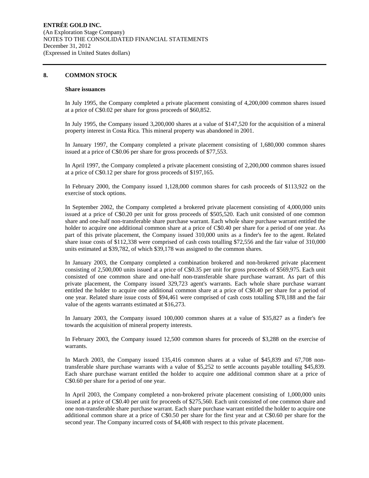#### **8. COMMON STOCK**

#### **Share issuances**

In July 1995, the Company completed a private placement consisting of 4,200,000 common shares issued at a price of C\$0.02 per share for gross proceeds of \$60,852.

In July 1995, the Company issued 3,200,000 shares at a value of \$147,520 for the acquisition of a mineral property interest in Costa Rica. This mineral property was abandoned in 2001.

In January 1997, the Company completed a private placement consisting of 1,680,000 common shares issued at a price of C\$0.06 per share for gross proceeds of \$77,553.

In April 1997, the Company completed a private placement consisting of 2,200,000 common shares issued at a price of C\$0.12 per share for gross proceeds of \$197,165.

In February 2000, the Company issued 1,128,000 common shares for cash proceeds of \$113,922 on the exercise of stock options.

In September 2002, the Company completed a brokered private placement consisting of 4,000,000 units issued at a price of C\$0.20 per unit for gross proceeds of \$505,520. Each unit consisted of one common share and one-half non-transferable share purchase warrant. Each whole share purchase warrant entitled the holder to acquire one additional common share at a price of C\$0.40 per share for a period of one year. As part of this private placement, the Company issued 310,000 units as a finder's fee to the agent. Related share issue costs of \$112,338 were comprised of cash costs totalling \$72,556 and the fair value of 310,000 units estimated at \$39,782, of which \$39,178 was assigned to the common shares.

In January 2003, the Company completed a combination brokered and non-brokered private placement consisting of 2,500,000 units issued at a price of C\$0.35 per unit for gross proceeds of \$569,975. Each unit consisted of one common share and one-half non-transferable share purchase warrant. As part of this private placement, the Company issued 329,723 agent's warrants. Each whole share purchase warrant entitled the holder to acquire one additional common share at a price of C\$0.40 per share for a period of one year. Related share issue costs of \$94,461 were comprised of cash costs totalling \$78,188 and the fair value of the agents warrants estimated at \$16,273.

In January 2003, the Company issued 100,000 common shares at a value of \$35,827 as a finder's fee towards the acquisition of mineral property interests.

In February 2003, the Company issued 12,500 common shares for proceeds of \$3,288 on the exercise of warrants.

In March 2003, the Company issued 135,416 common shares at a value of \$45,839 and 67,708 nontransferable share purchase warrants with a value of \$5,252 to settle accounts payable totalling \$45,839. Each share purchase warrant entitled the holder to acquire one additional common share at a price of C\$0.60 per share for a period of one year.

In April 2003, the Company completed a non-brokered private placement consisting of 1,000,000 units issued at a price of C\$0.40 per unit for proceeds of \$275,560. Each unit consisted of one common share and one non-transferable share purchase warrant. Each share purchase warrant entitled the holder to acquire one additional common share at a price of C\$0.50 per share for the first year and at C\$0.60 per share for the second year. The Company incurred costs of \$4,408 with respect to this private placement.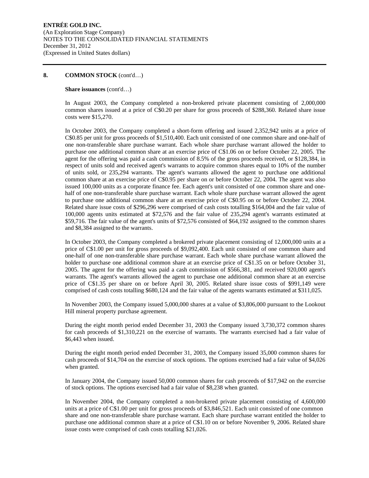#### **Share issuances** (cont'd…)

In August 2003, the Company completed a non-brokered private placement consisting of 2,000,000 common shares issued at a price of C\$0.20 per share for gross proceeds of \$288,360. Related share issue costs were \$15,270.

In October 2003, the Company completed a short-form offering and issued 2,352,942 units at a price of C\$0.85 per unit for gross proceeds of \$1,510,400. Each unit consisted of one common share and one-half of one non-transferable share purchase warrant. Each whole share purchase warrant allowed the holder to purchase one additional common share at an exercise price of C\$1.06 on or before October 22, 2005. The agent for the offering was paid a cash commission of 8.5% of the gross proceeds received, or \$128,384, in respect of units sold and received agent's warrants to acquire common shares equal to 10% of the number of units sold, or 235,294 warrants. The agent's warrants allowed the agent to purchase one additional common share at an exercise price of C\$0.95 per share on or before October 22, 2004. The agent was also issued 100,000 units as a corporate finance fee. Each agent's unit consisted of one common share and onehalf of one non-transferable share purchase warrant. Each whole share purchase warrant allowed the agent to purchase one additional common share at an exercise price of C\$0.95 on or before October 22, 2004. Related share issue costs of \$296,296 were comprised of cash costs totalling \$164,004 and the fair value of 100,000 agents units estimated at \$72,576 and the fair value of 235,294 agent's warrants estimated at \$59,716. The fair value of the agent's units of \$72,576 consisted of \$64,192 assigned to the common shares and \$8,384 assigned to the warrants.

In October 2003, the Company completed a brokered private placement consisting of 12,000,000 units at a price of C\$1.00 per unit for gross proceeds of \$9,092,400. Each unit consisted of one common share and one-half of one non-transferable share purchase warrant. Each whole share purchase warrant allowed the holder to purchase one additional common share at an exercise price of C\$1.35 on or before October 31, 2005. The agent for the offering was paid a cash commission of \$566,381, and received 920,000 agent's warrants. The agent's warrants allowed the agent to purchase one additional common share at an exercise price of C\$1.35 per share on or before April 30, 2005. Related share issue costs of \$991,149 were comprised of cash costs totalling \$680,124 and the fair value of the agents warrants estimated at \$311,025.

In November 2003, the Company issued 5,000,000 shares at a value of \$3,806,000 pursuant to the Lookout Hill mineral property purchase agreement.

During the eight month period ended December 31, 2003 the Company issued 3,730,372 common shares for cash proceeds of \$1,310,221 on the exercise of warrants. The warrants exercised had a fair value of \$6,443 when issued.

During the eight month period ended December 31, 2003, the Company issued 35,000 common shares for cash proceeds of \$14,704 on the exercise of stock options. The options exercised had a fair value of \$4,026 when granted.

In January 2004, the Company issued 50,000 common shares for cash proceeds of \$17,942 on the exercise of stock options. The options exercised had a fair value of \$8,238 when granted.

In November 2004, the Company completed a non-brokered private placement consisting of 4,600,000 units at a price of C\$1.00 per unit for gross proceeds of \$3,846,521. Each unit consisted of one common share and one non-transferable share purchase warrant. Each share purchase warrant entitled the holder to purchase one additional common share at a price of C\$1.10 on or before November 9, 2006. Related share issue costs were comprised of cash costs totalling \$21,026.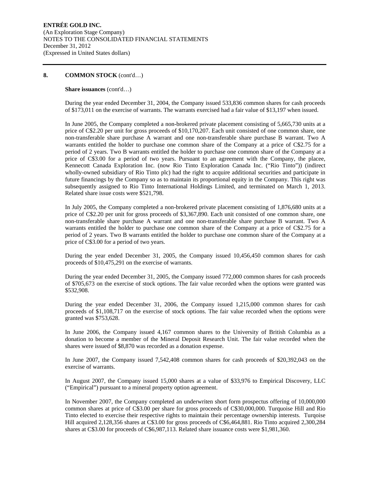#### **Share issuances** (cont'd…)

During the year ended December 31, 2004, the Company issued 533,836 common shares for cash proceeds of \$173,011 on the exercise of warrants. The warrants exercised had a fair value of \$13,197 when issued.

In June 2005, the Company completed a non-brokered private placement consisting of 5,665,730 units at a price of C\$2.20 per unit for gross proceeds of \$10,170,207. Each unit consisted of one common share, one non-transferable share purchase A warrant and one non-transferable share purchase B warrant. Two A warrants entitled the holder to purchase one common share of the Company at a price of C\$2.75 for a period of 2 years. Two B warrants entitled the holder to purchase one common share of the Company at a price of C\$3.00 for a period of two years. Pursuant to an agreement with the Company, the placee, Kennecott Canada Exploration Inc. (now Rio Tinto Exploration Canada Inc. ("Rio Tinto")) (indirect wholly-owned subsidiary of Rio Tinto plc) had the right to acquire additional securities and participate in future financings by the Company so as to maintain its proportional equity in the Company. This right was subsequently assigned to Rio Tinto International Holdings Limited, and terminated on March 1, 2013. Related share issue costs were \$521,798.

In July 2005, the Company completed a non-brokered private placement consisting of 1,876,680 units at a price of C\$2.20 per unit for gross proceeds of \$3,367,890. Each unit consisted of one common share, one non-transferable share purchase A warrant and one non-transferable share purchase B warrant. Two A warrants entitled the holder to purchase one common share of the Company at a price of C\$2.75 for a period of 2 years. Two B warrants entitled the holder to purchase one common share of the Company at a price of C\$3.00 for a period of two years.

During the year ended December 31, 2005, the Company issued 10,456,450 common shares for cash proceeds of \$10,475,291 on the exercise of warrants.

During the year ended December 31, 2005, the Company issued 772,000 common shares for cash proceeds of \$705,673 on the exercise of stock options. The fair value recorded when the options were granted was \$532,908.

During the year ended December 31, 2006, the Company issued 1,215,000 common shares for cash proceeds of \$1,108,717 on the exercise of stock options. The fair value recorded when the options were granted was \$753,628.

In June 2006, the Company issued 4,167 common shares to the University of British Columbia as a donation to become a member of the Mineral Deposit Research Unit. The fair value recorded when the shares were issued of \$8,870 was recorded as a donation expense.

In June 2007, the Company issued 7,542,408 common shares for cash proceeds of \$20,392,043 on the exercise of warrants.

In August 2007, the Company issued 15,000 shares at a value of \$33,976 to Empirical Discovery, LLC ("Empirical") pursuant to a mineral property option agreement.

In November 2007, the Company completed an underwriten short form prospectus offering of 10,000,000 common shares at price of C\$3.00 per share for gross proceeds of C\$30,000,000. Turquoise Hill and Rio Tinto elected to exercise their respective rights to maintain their percentage ownership interests. Turqoise Hill acquired 2,128,356 shares at C\$3.00 for gross proceeds of C\$6,464,881. Rio Tinto acquired 2,300,284 shares at C\$3.00 for proceeds of C\$6,987,113. Related share issuance costs were \$1,981,360.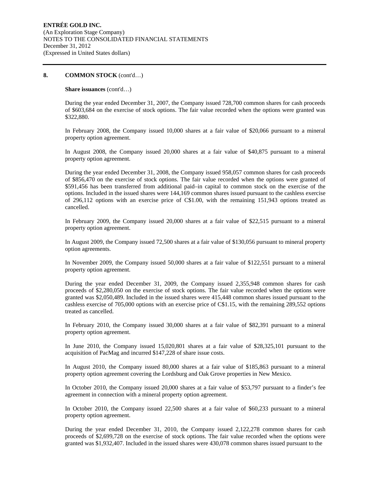#### **Share issuances** (cont'd…)

During the year ended December 31, 2007, the Company issued 728,700 common shares for cash proceeds of \$603,684 on the exercise of stock options. The fair value recorded when the options were granted was \$322,880.

In February 2008, the Company issued 10,000 shares at a fair value of \$20,066 pursuant to a mineral property option agreement.

In August 2008, the Company issued 20,000 shares at a fair value of \$40,875 pursuant to a mineral property option agreement.

During the year ended December 31, 2008, the Company issued 958,057 common shares for cash proceeds of \$856,470 on the exercise of stock options. The fair value recorded when the options were granted of \$591,456 has been transferred from additional paid–in capital to common stock on the exercise of the options. Included in the issued shares were 144,169 common shares issued pursuant to the cashless exercise of 296,112 options with an exercise price of C\$1.00, with the remaining 151,943 options treated as cancelled.

In February 2009, the Company issued 20,000 shares at a fair value of \$22,515 pursuant to a mineral property option agreement.

In August 2009, the Company issued 72,500 shares at a fair value of \$130,056 pursuant to mineral property option agreements.

In November 2009, the Company issued 50,000 shares at a fair value of \$122,551 pursuant to a mineral property option agreement.

During the year ended December 31, 2009, the Company issued 2,355,948 common shares for cash proceeds of \$2,280,050 on the exercise of stock options. The fair value recorded when the options were granted was \$2,050,489. Included in the issued shares were 415,448 common shares issued pursuant to the cashless exercise of 705,000 options with an exercise price of C\$1.15, with the remaining 289,552 options treated as cancelled.

In February 2010, the Company issued 30,000 shares at a fair value of \$82,391 pursuant to a mineral property option agreement.

In June 2010, the Company issued 15,020,801 shares at a fair value of \$28,325,101 pursuant to the acquisition of PacMag and incurred \$147,228 of share issue costs.

In August 2010, the Company issued 80,000 shares at a fair value of \$185,863 pursuant to a mineral property option agreement covering the Lordsburg and Oak Grove properties in New Mexico.

In October 2010, the Company issued 20,000 shares at a fair value of \$53,797 pursuant to a finder's fee agreement in connection with a mineral property option agreement.

In October 2010, the Company issued 22,500 shares at a fair value of \$60,233 pursuant to a mineral property option agreement.

During the year ended December 31, 2010, the Company issued 2,122,278 common shares for cash proceeds of \$2,699,728 on the exercise of stock options. The fair value recorded when the options were granted was \$1,932,407. Included in the issued shares were 430,078 common shares issued pursuant to the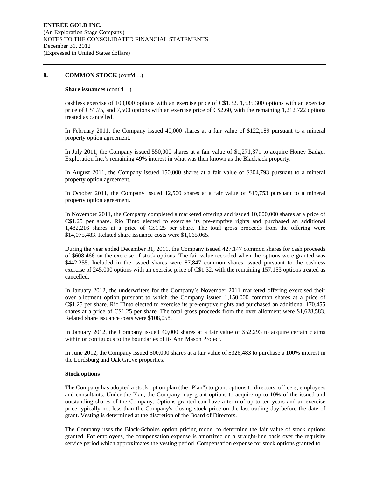#### **Share issuances** (cont'd…)

cashless exercise of 100,000 options with an exercise price of C\$1.32, 1,535,300 options with an exercise price of C\$1.75, and 7,500 options with an exercise price of C\$2.60, with the remaining 1,212,722 options treated as cancelled.

In February 2011, the Company issued 40,000 shares at a fair value of \$122,189 pursuant to a mineral property option agreement.

In July 2011, the Company issued 550,000 shares at a fair value of \$1,271,371 to acquire Honey Badger Exploration Inc.'s remaining 49% interest in what was then known as the Blackjack property.

In August 2011, the Company issued 150,000 shares at a fair value of \$304,793 pursuant to a mineral property option agreement.

In October 2011, the Company issued 12,500 shares at a fair value of \$19,753 pursuant to a mineral property option agreement.

In November 2011, the Company completed a marketed offering and issued 10,000,000 shares at a price of C\$1.25 per share. Rio Tinto elected to exercise its pre-emptive rights and purchased an additional 1,482,216 shares at a price of C\$1.25 per share. The total gross proceeds from the offering were \$14,075,483. Related share issuance costs were \$1,065,065.

During the year ended December 31, 2011, the Company issued 427,147 common shares for cash proceeds of \$608,466 on the exercise of stock options. The fair value recorded when the options were granted was \$442,255. Included in the issued shares were 87,847 common shares issued pursuant to the cashless exercise of 245,000 options with an exercise price of C\$1.32, with the remaining 157,153 options treated as cancelled.

In January 2012, the underwriters for the Company's November 2011 marketed offering exercised their over allotment option pursuant to which the Company issued 1,150,000 common shares at a price of C\$1.25 per share. Rio Tinto elected to exercise its pre-emptive rights and purchased an additional 170,455 shares at a price of C\$1.25 per share. The total gross proceeds from the over allotment were \$1,628,583. Related share issuance costs were \$108,058.

In January 2012, the Company issued 40,000 shares at a fair value of \$52,293 to acquire certain claims within or contiguous to the boundaries of its Ann Mason Project.

In June 2012, the Company issued 500,000 shares at a fair value of \$326,483 to purchase a 100% interest in the Lordsburg and Oak Grove properties.

#### **Stock options**

The Company has adopted a stock option plan (the "Plan") to grant options to directors, officers, employees and consultants. Under the Plan, the Company may grant options to acquire up to 10% of the issued and outstanding shares of the Company. Options granted can have a term of up to ten years and an exercise price typically not less than the Company's closing stock price on the last trading day before the date of grant. Vesting is determined at the discretion of the Board of Directors.

The Company uses the Black-Scholes option pricing model to determine the fair value of stock options granted. For employees, the compensation expense is amortized on a straight-line basis over the requisite service period which approximates the vesting period. Compensation expense for stock options granted to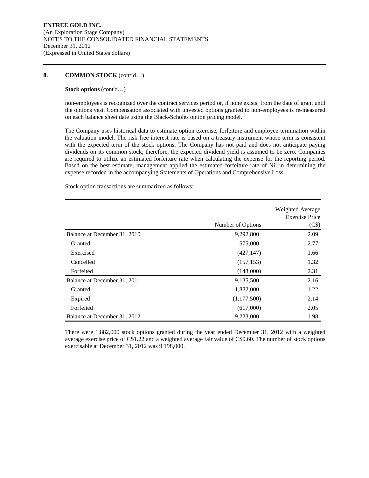#### **Stock options** (cont'd…)

non-employees is recognized over the contract services period or, if none exists, from the date of grant until the options vest. Compensation associated with unvested options granted to non-employees is re-measured on each balance sheet date using the Black-Scholes option pricing model.

The Company uses historical data to estimate option exercise, forfeiture and employee termination within the valuation model. The risk-free interest rate is based on a treasury instrument whose term is consistent with the expected term of the stock options. The Company has not paid and does not anticipate paying dividends on its common stock; therefore, the expected dividend yield is assumed to be zero. Companies are required to utilize an estimated forfeiture rate when calculating the expense for the reporting period. Based on the best estimate, management applied the estimated forfeiture rate of Nil in determining the expense recorded in the accompanying Statements of Operations and Comprehensive Loss.

Stock option transactions are summarized as follows:

|                              |                   | Weighted Average<br><b>Exercise Price</b> |
|------------------------------|-------------------|-------------------------------------------|
|                              | Number of Options | (C\$)                                     |
| Balance at December 31, 2010 | 9,292,800         | 2.09                                      |
| Granted                      | 575,000           | 2.77                                      |
| Exercised                    | (427, 147)        | 1.66                                      |
| Cancelled                    | (157, 153)        | 1.32                                      |
| Forfeited                    | (148,000)         | 2.31                                      |
| Balance at December 31, 2011 | 9,135,500         | 2.16                                      |
| Granted                      | 1,882,000         | 1.22                                      |
| Expired                      | (1,177,500)       | 2.14                                      |
| Forfeited                    | (617,000)         | 2.05                                      |
| Balance at December 31, 2012 | 9,223,000         | 1.98                                      |

There were 1,882,000 stock options granted during the year ended December 31, 2012 with a weighted average exercise price of C\$1.22 and a weighted average fair value of C\$0.60. The number of stock options exercisable at December 31, 2012 was 9,198,000.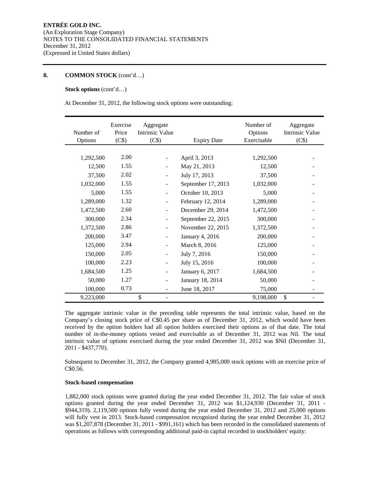#### **Stock options** (cont'd…)

At December 31, 2012, the following stock options were outstanding:

| Number of<br>Options | Exercise<br>Price<br>(C\$) | Aggregate<br>Intrinsic Value<br>(C\$) | <b>Expiry Date</b> | Number of<br>Options<br>Exercisable | Aggregate<br><b>Intrinsic Value</b><br>(C\$) |
|----------------------|----------------------------|---------------------------------------|--------------------|-------------------------------------|----------------------------------------------|
|                      |                            |                                       |                    |                                     |                                              |
| 1,292,500            | 2.00                       |                                       | April 3, 2013      | 1,292,500                           |                                              |
| 12,500               | 1.55                       | $\overline{\phantom{a}}$              | May 21, 2013       | 12,500                              |                                              |
| 37,500               | 2.02                       |                                       | July 17, 2013      | 37,500                              |                                              |
| 1,032,000            | 1.55                       | $\overline{\phantom{m}}$              | September 17, 2013 | 1,032,000                           |                                              |
| 5,000                | 1.55                       |                                       | October 10, 2013   | 5,000                               |                                              |
| 1,289,000            | 1.32                       | $\overline{\phantom{m}}$              | February 12, 2014  | 1,289,000                           |                                              |
| 1,472,500            | 2.60                       |                                       | December 29, 2014  | 1,472,500                           |                                              |
| 300,000              | 2.34                       | $\overline{\phantom{m}}$              | September 22, 2015 | 300,000                             |                                              |
| 1,372,500            | 2.86                       |                                       | November 22, 2015  | 1,372,500                           |                                              |
| 200,000              | 3.47                       | $\overline{\phantom{a}}$              | January 4, 2016    | 200,000                             |                                              |
| 125,000              | 2.94                       | $\overline{\phantom{m}}$              | March 8, 2016      | 125,000                             |                                              |
| 150,000              | 2.05                       |                                       | July 7, 2016       | 150,000                             |                                              |
| 100,000              | 2.23                       |                                       | July 15, 2016      | 100,000                             |                                              |
| 1,684,500            | 1.25                       | $\overline{\phantom{a}}$              | January 6, 2017    | 1,684,500                           |                                              |
| 50,000               | 1.27                       | $\overline{\phantom{a}}$              | January 18, 2014   | 50,000                              |                                              |
| 100,000              | 0.73                       |                                       | June 18, 2017      | 75,000                              |                                              |
| 9,223,000            |                            | \$                                    |                    | 9,198,000                           | \$                                           |

The aggregate intrinsic value in the preceding table represents the total intrinsic value, based on the Company's closing stock price of C\$0.45 per share as of December 31, 2012, which would have been received by the option holders had all option holders exercised their options as of that date. The total number of in-the-money options vested and exercisable as of December 31, 2012 was Nil. The total intrinsic value of options exercised during the year ended December 31, 2012 was \$Nil (December 31, 2011 - \$437,770).

Subsequent to December 31, 2012, the Company granted 4,985,000 stock options with an exercise price of C\$0.56.

#### **Stock-based compensation**

1,882,000 stock options were granted during the year ended December 31, 2012. The fair value of stock options granted during the year ended December 31, 2012 was \$1,124,930 (December 31, 2011 - \$944,319). 2,119,500 options fully vested during the year ended December 31, 2012 and 25,000 options will fully vest in 2013. Stock-based compensation recognized during the year ended December 31, 2012 was \$1,207,878 (December 31, 2011 - \$991,161) which has been recorded in the consolidated statements of operations as follows with corresponding additional paid-in capital recorded in stockholders' equity: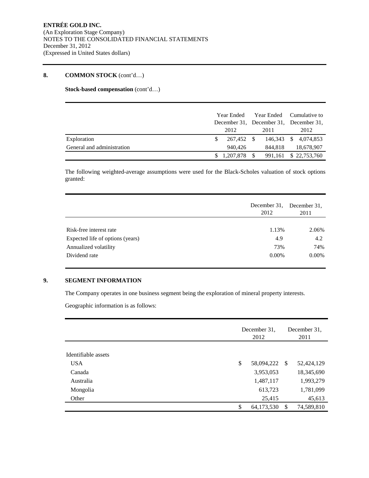**Stock-based compensation** (cont'd…)

|                            | Year Ended |                 | December 31, December 31, December 31, |         | Year Ended Cumulative to |                       |
|----------------------------|------------|-----------------|----------------------------------------|---------|--------------------------|-----------------------|
|                            |            | 2012            |                                        | 2011    |                          | 2012                  |
| Exploration                | S.         | 267.452 \$      |                                        |         |                          | 146,343 \$ 4,074,853  |
| General and administration |            | 940.426         |                                        | 844.818 |                          | 18,678,907            |
|                            |            | $$1,207,878$ \; |                                        |         |                          | 991,161 \$ 22,753,760 |

The following weighted-average assumptions were used for the Black-Scholes valuation of stock options granted:

|                                  | December 31,<br>2012 | December 31.<br>2011 |
|----------------------------------|----------------------|----------------------|
|                                  |                      |                      |
| Risk-free interest rate          | 1.13%                | 2.06%                |
| Expected life of options (years) | 4.9                  | 4.2                  |
| Annualized volatility            | 73%                  | 74%                  |
| Dividend rate                    | $0.00\%$             | $0.00\%$             |

#### **9. SEGMENT INFORMATION**

The Company operates in one business segment being the exploration of mineral property interests.

Geographic information is as follows:

|                     | December 31,<br>2012 |     | December 31.<br>2011 |  |
|---------------------|----------------------|-----|----------------------|--|
|                     |                      |     |                      |  |
| Identifiable assets |                      |     |                      |  |
| <b>USA</b>          | \$<br>58,094,222     | -S  | 52,424,129           |  |
| Canada              | 3,953,053            |     | 18,345,690           |  |
| Australia           | 1,487,117            |     | 1,993,279            |  |
| Mongolia            | 613,723              |     | 1,781,099            |  |
| Other               | 25,415               |     | 45,613               |  |
|                     | \$<br>64,173,530     | -\$ | 74,589,810           |  |
|                     |                      |     |                      |  |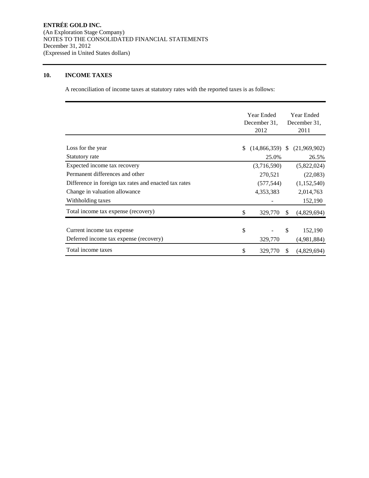#### **10. INCOME TAXES**

A reconciliation of income taxes at statutory rates with the reported taxes is as follows:

|                                                       |    | Year Ended<br>December 31.<br>2012 |              | Year Ended<br>December 31.<br>2011 |
|-------------------------------------------------------|----|------------------------------------|--------------|------------------------------------|
| Loss for the year                                     | S. | (14,866,359)                       | <sup>S</sup> | (21,969,902)                       |
| Statutory rate                                        |    | 25.0%                              |              | 26.5%                              |
| Expected income tax recovery                          |    | (3,716,590)                        |              | (5,822,024)                        |
| Permanent differences and other                       |    | 270,521                            |              | (22,083)                           |
| Difference in foreign tax rates and enacted tax rates |    | (577, 544)                         |              | (1,152,540)                        |
| Change in valuation allowance                         |    | 4,353,383                          |              | 2,014,763                          |
| Withholding taxes                                     |    |                                    |              | 152,190                            |
| Total income tax expense (recovery)                   | \$ | 329,770                            | \$.          | (4,829,694)                        |
|                                                       |    |                                    |              |                                    |
| Current income tax expense                            | \$ |                                    | \$           | 152,190                            |
| Deferred income tax expense (recovery)                |    | 329,770                            |              | (4,981,884)                        |
| Total income taxes                                    | \$ | 329,770                            | \$.          | (4,829,694)                        |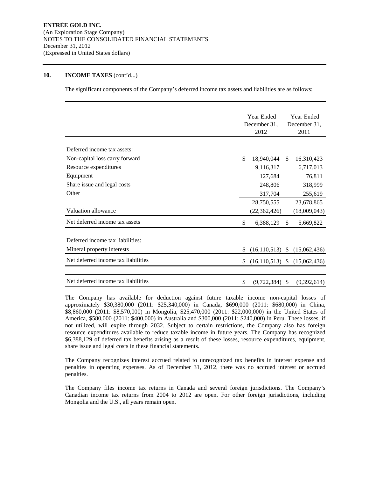#### **10. INCOME TAXES** (cont'd...)

The significant components of the Company's deferred income tax assets and liabilities are as follows:

|                                     | <b>Year Ended</b><br>December 31,<br>2012 |                     | <b>Year Ended</b><br>December 31,<br>2011 |                                  |
|-------------------------------------|-------------------------------------------|---------------------|-------------------------------------------|----------------------------------|
| Deferred income tax assets:         |                                           |                     |                                           |                                  |
| Non-capital loss carry forward      | \$                                        | 18,940,044          | - \$                                      | 16,310,423                       |
| Resource expenditures               |                                           | 9,116,317           |                                           | 6,717,013                        |
| Equipment                           |                                           | 127,684             |                                           | 76,811                           |
| Share issue and legal costs         |                                           | 248,806             |                                           | 318,999                          |
| Other                               |                                           | 317,704             |                                           | 255,619                          |
|                                     |                                           | 28,750,555          |                                           | 23,678,865                       |
| Valuation allowance                 |                                           | (22, 362, 426)      |                                           | (18,009,043)                     |
| Net deferred income tax assets      | \$                                        | 6,388,129           | $\mathbb{S}$                              | 5,669,822                        |
| Deferred income tax liabilities:    |                                           |                     |                                           |                                  |
| Mineral property interests          | \$                                        |                     |                                           | $(16,110,513)$ \$ $(15,062,436)$ |
| Net deferred income tax liabilities | \$                                        | $(16, 110, 513)$ \$ |                                           | (15,062,436)                     |
| Net deferred income tax liabilities | \$                                        | $(9,722,384)$ \$    |                                           | (9,392,614)                      |

The Company has available for deduction against future taxable income non-capital losses of approximately \$30,380,000 (2011: \$25,340,000) in Canada, \$690,000 (2011: \$680,000) in China, \$8,860,000 (2011: \$8,570,000) in Mongolia, \$25,470,000 (2011: \$22,000,000) in the United States of America, \$580,000 (2011: \$400,000) in Australia and \$300,000 (2011: \$240,000) in Peru. These losses, if not utilized, will expire through 2032. Subject to certain restrictions, the Company also has foreign resource expenditures available to reduce taxable income in future years. The Company has recognized \$6,388,129 of deferred tax benefits arising as a result of these losses, resource expenditures, equipment, share issue and legal costs in these financial statements.

The Company recognizes interest accrued related to unrecognized tax benefits in interest expense and penalties in operating expenses. As of December 31, 2012, there was no accrued interest or accrued penalties.

The Company files income tax returns in Canada and several foreign jurisdictions. The Company's Canadian income tax returns from 2004 to 2012 are open. For other foreign jurisdictions, including Mongolia and the U.S., all years remain open.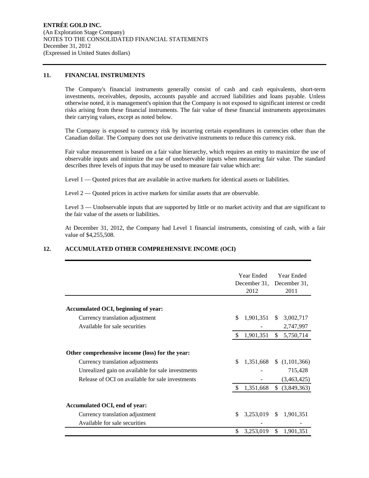#### **11. FINANCIAL INSTRUMENTS**

The Company's financial instruments generally consist of cash and cash equivalents, short-term investments, receivables, deposits, accounts payable and accrued liabilities and loans payable. Unless otherwise noted, it is management's opinion that the Company is not exposed to significant interest or credit risks arising from these financial instruments. The fair value of these financial instruments approximates their carrying values, except as noted below.

The Company is exposed to currency risk by incurring certain expenditures in currencies other than the Canadian dollar. The Company does not use derivative instruments to reduce this currency risk.

Fair value measurement is based on a fair value hierarchy, which requires an entity to maximize the use of observable inputs and minimize the use of unobservable inputs when measuring fair value. The standard describes three levels of inputs that may be used to measure fair value which are:

Level 1 — Quoted prices that are available in active markets for identical assets or liabilities.

Level  $2 -$  Quoted prices in active markets for similar assets that are observable.

Level 3 — Unobservable inputs that are supported by little or no market activity and that are significant to the fair value of the assets or liabilities.

At December 31, 2012, the Company had Level 1 financial instruments, consisting of cash, with a fair value of \$4,255,508.

### Year Ended December 31, December 31, 2012 Year Ended 2011 **Accumulated OCI, beginning of year:** Currency translation adjustment  $\qquad \qquad$   $\qquad \qquad$  1,901,351  $\qquad$  3,002,717 Available for sale securities  $\sim$  2,747,997  $$1,901,351$   $$5,750,714$ **Other comprehensive income (loss) for the year:** Currency translation adjustments  $\qquad$   $\qquad$  1,351,668 \$ (1,101,366) Unrealized gain on available for sale investments  $\frac{715,428}{ }$ Release of OCI on available for sale investments  $(3,463,425)$  $$ 1,351,668 \quad $ (3,849,363)$ **Accumulated OCI, end of year:** Currency translation adjustment  $\qquad$   $\qquad$   $\qquad$  3,253,019 \$ 1,901,351 Available for sale securities \$ 1,901,351 3,253,019 \$

#### **12. ACCUMULATED OTHER COMPREHENSIVE INCOME (OCI)**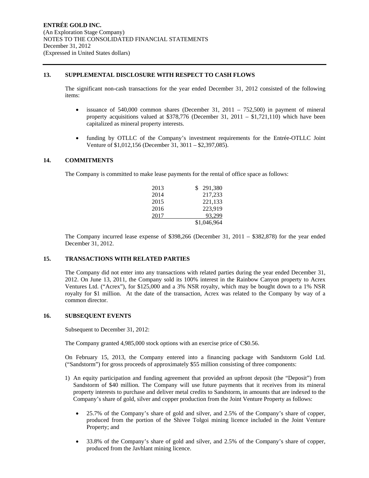#### **13. SUPPLEMENTAL DISCLOSURE WITH RESPECT TO CASH FLOWS**

The significant non-cash transactions for the year ended December 31, 2012 consisted of the following items:

- issuance of 540,000 common shares (December 31, 2011 752,500) in payment of mineral property acquisitions valued at  $$378,776$  (December 31, 2011 –  $$1,721,110$ ) which have been capitalized as mineral property interests.
- funding by OTLLC of the Company's investment requirements for the Entrée-OTLLC Joint Venture of \$1,012,156 (December 31, 3011 – \$2,397,085).

#### **14. COMMITMENTS**

The Company is committed to make lease payments for the rental of office space as follows:

| 2013 | 291,380     |
|------|-------------|
| 2014 | 217,233     |
| 2015 | 221,133     |
| 2016 | 223,919     |
| 2017 | 93.299      |
|      | \$1,046,964 |

The Company incurred lease expense of \$398,266 (December 31, 2011 – \$382,878) for the year ended December 31, 2012.

#### **15. TRANSACTIONS WITH RELATED PARTIES**

The Company did not enter into any transactions with related parties during the year ended December 31, 2012. On June 13, 2011, the Company sold its 100% interest in the Rainbow Canyon property to Acrex Ventures Ltd. ("Acrex"), for \$125,000 and a 3% NSR royalty, which may be bought down to a 1% NSR royalty for \$1 million. At the date of the transaction, Acrex was related to the Company by way of a common director.

#### **16. SUBSEQUENT EVENTS**

Subsequent to December 31, 2012:

The Company granted 4,985,000 stock options with an exercise price of C\$0.56.

On February 15, 2013, the Company entered into a financing package with Sandstorm Gold Ltd. ("Sandstorm") for gross proceeds of approximately \$55 million consisting of three components:

- 1) An equity participation and funding agreement that provided an upfront deposit (the "Deposit") from Sandstorm of \$40 million. The Company will use future payments that it receives from its mineral property interests to purchase and deliver metal credits to Sandstorm, in amounts that are indexed to the Company's share of gold, silver and copper production from the Joint Venture Property as follows:
	- 25.7% of the Company's share of gold and silver, and 2.5% of the Company's share of copper, produced from the portion of the Shivee Tolgoi mining licence included in the Joint Venture Property; and
	- 33.8% of the Company's share of gold and silver, and 2.5% of the Company's share of copper, produced from the Javhlant mining licence.